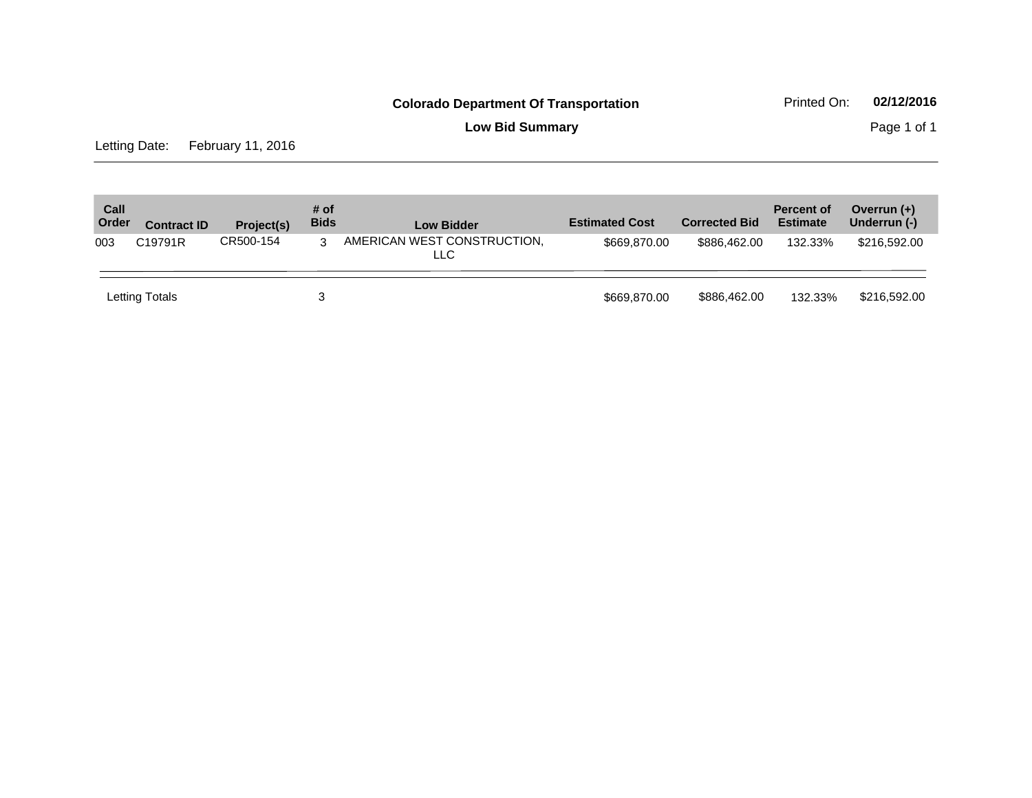**Low Bid Summary Page 1 of 1** 

Letting Date: February 11, 2016

| Call<br>Order | <b>Contract ID</b> | Project(s) | # of<br><b>Bids</b> | <b>Low Bidder</b>                  | <b>Estimated Cost</b> | <b>Corrected Bid</b> | <b>Percent of</b><br><b>Estimate</b> | Overrun $(+)$<br>Underrun (-) |
|---------------|--------------------|------------|---------------------|------------------------------------|-----------------------|----------------------|--------------------------------------|-------------------------------|
| 003           | C19791R            | CR500-154  | 3                   | AMERICAN WEST CONSTRUCTION,<br>LLC | \$669,870,00          | \$886,462,00         | 132.33%                              | \$216,592.00                  |
|               | Letting Totals     |            | 3                   |                                    | \$669,870,00          | \$886,462.00         | 132.33%                              | \$216,592.00                  |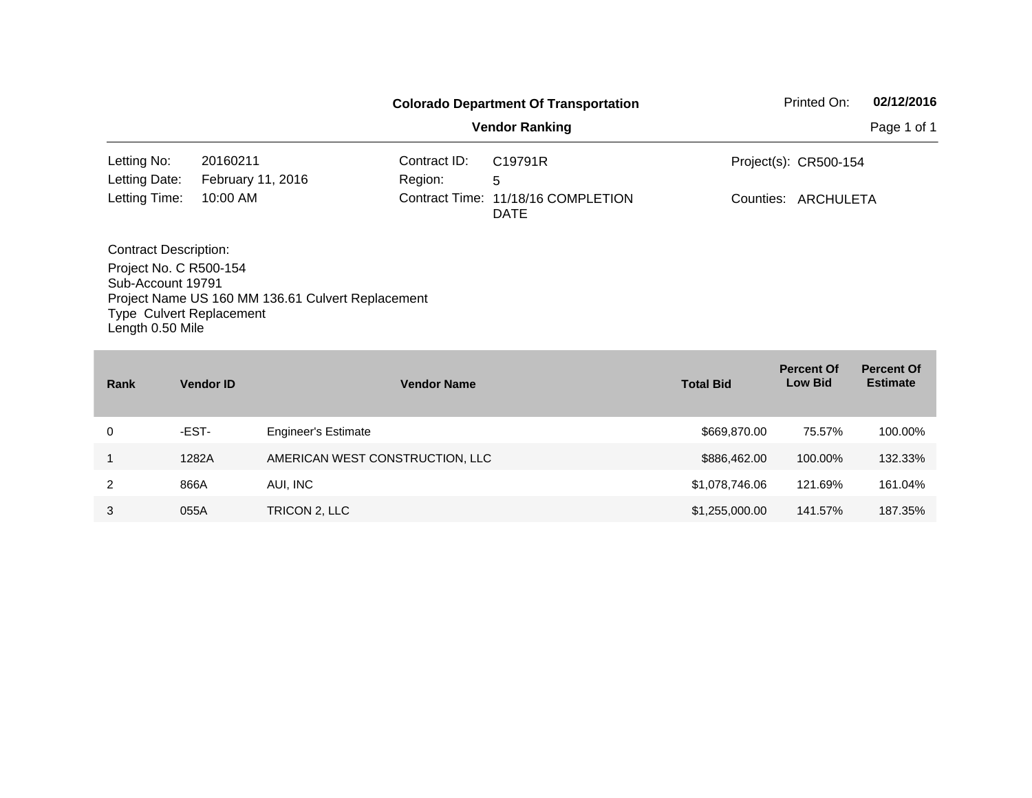| <b>Colorado Department Of Transportation</b>                          |                                                           |                                                                   |                                    |                       | Printed On:      | 02/12/2016                          |                                      |  |
|-----------------------------------------------------------------------|-----------------------------------------------------------|-------------------------------------------------------------------|------------------------------------|-----------------------|------------------|-------------------------------------|--------------------------------------|--|
|                                                                       |                                                           |                                                                   |                                    | <b>Vendor Ranking</b> |                  |                                     | Page 1 of 1                          |  |
| Letting No:                                                           | 20160211                                                  |                                                                   | Contract ID:                       | C19791R               |                  | Project(s): CR500-154               |                                      |  |
| Letting Date:                                                         | February 11, 2016                                         |                                                                   |                                    |                       |                  |                                     |                                      |  |
| Letting Time:                                                         | 10:00 AM                                                  | Region:<br>5<br>Contract Time: 11/18/16 COMPLETION<br><b>DATE</b> |                                    | Counties: ARCHULETA   |                  |                                     |                                      |  |
| <b>Contract Description:</b><br>Sub-Account 19791<br>Length 0.50 Mile | Project No. C R500-154<br><b>Type Culvert Replacement</b> | Project Name US 160 MM 136.61 Culvert Replacement                 |                                    |                       |                  |                                     |                                      |  |
| Rank                                                                  | <b>Vendor ID</b>                                          |                                                                   | <b>Vendor Name</b>                 |                       | <b>Total Bid</b> | <b>Percent Of</b><br><b>Low Bid</b> | <b>Percent Of</b><br><b>Estimate</b> |  |
| 0                                                                     | -EST-                                                     | <b>Engineer's Estimate</b>                                        |                                    |                       | \$669,870.00     | 75.57%                              | 100.00%                              |  |
| 1                                                                     | 1282A<br>AMERICAN WEST CONSTRUCTION, LLC                  |                                                                   | \$886,462.00<br>100.00%<br>132.33% |                       |                  |                                     |                                      |  |

2 866A AUI, INC \$1,078,746.06 121.69% 161.04% 3 055A TRICON 2, LLC 3 2 2 3 25,000.00 141.57% 187.35%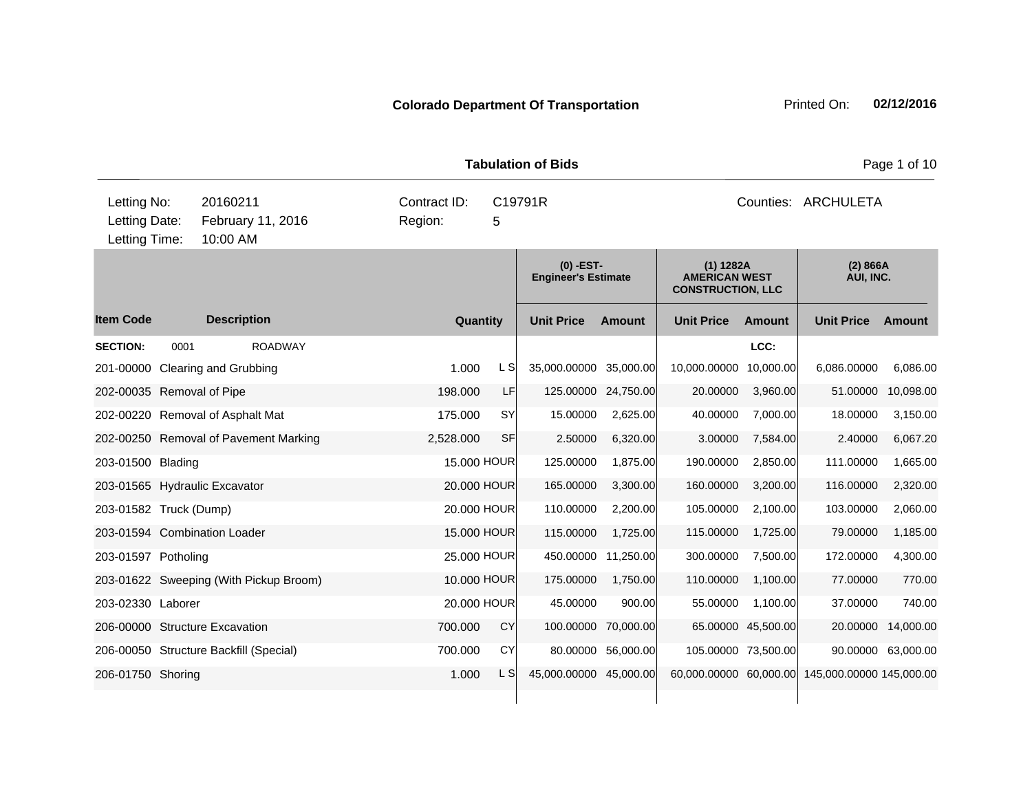| <b>Tabulation of Bids</b>                     |                                           |                    |                                        |  |                                         |                    |                                           |                     |                                                                 | Page 1 of 10        |                          |           |  |
|-----------------------------------------------|-------------------------------------------|--------------------|----------------------------------------|--|-----------------------------------------|--------------------|-------------------------------------------|---------------------|-----------------------------------------------------------------|---------------------|--------------------------|-----------|--|
| Letting No:<br>Letting Date:<br>Letting Time: | 20160211<br>February 11, 2016<br>10:00 AM |                    |                                        |  | Contract ID:<br>C19791R<br>Region:<br>5 |                    |                                           |                     | Counties: ARCHULETA                                             |                     |                          |           |  |
|                                               |                                           |                    |                                        |  |                                         |                    | $(0)$ -EST-<br><b>Engineer's Estimate</b> |                     | $(1)$ 1282A<br><b>AMERICAN WEST</b><br><b>CONSTRUCTION, LLC</b> |                     | (2) 866A<br>AUI, INC.    |           |  |
| <b>Item Code</b>                              |                                           | <b>Description</b> |                                        |  |                                         | Quantity           | <b>Unit Price</b>                         | <b>Amount</b>       | <b>Unit Price</b>                                               | <b>Amount</b>       | <b>Unit Price</b>        | Amount    |  |
| <b>SECTION:</b>                               | 0001                                      |                    | <b>ROADWAY</b>                         |  |                                         |                    |                                           |                     |                                                                 | LCC:                |                          |           |  |
| 201-00000 Clearing and Grubbing               |                                           |                    |                                        |  | 1.000                                   | L S                | 35,000.00000 35,000.00                    |                     | 10,000.00000                                                    | 10,000.00           | 6,086.00000              | 6,086.00  |  |
| 202-00035 Removal of Pipe                     |                                           |                    |                                        |  | 198.000                                 | LF                 |                                           | 125.00000 24,750.00 | 20.00000                                                        | 3,960.00            | 51.00000                 | 10,098.00 |  |
| 202-00220 Removal of Asphalt Mat              |                                           |                    |                                        |  | 175.000                                 | <b>SY</b>          | 15.00000                                  | 2,625.00            | 40.00000                                                        | 7,000.00            | 18.00000                 | 3,150.00  |  |
|                                               |                                           |                    | 202-00250 Removal of Pavement Marking  |  | 2,528.000                               | <b>SF</b>          | 2.50000                                   | 6,320.00            | 3.00000                                                         | 7,584.00            | 2.40000                  | 6,067.20  |  |
| 203-01500 Blading                             |                                           |                    |                                        |  |                                         | 15.000 HOUR        | 125.00000                                 | 1,875.00            | 190.00000                                                       | 2,850.00            | 111.00000                | 1,665.00  |  |
| 203-01565 Hydraulic Excavator                 |                                           |                    |                                        |  |                                         | 20.000 HOUR        | 165.00000                                 | 3,300.00            | 160.00000                                                       | 3,200.00            | 116.00000                | 2,320.00  |  |
| 203-01582 Truck (Dump)                        |                                           |                    |                                        |  |                                         | 20.000 HOUR        | 110.00000                                 | 2,200.00            | 105.00000                                                       | 2,100.00            | 103.00000                | 2,060.00  |  |
| 203-01594 Combination Loader                  |                                           |                    |                                        |  |                                         | <b>15.000 HOUR</b> | 115.00000                                 | 1,725.00            | 115.00000                                                       | 1,725.00            | 79.00000                 | 1,185.00  |  |
| 203-01597 Potholing                           |                                           |                    |                                        |  |                                         | 25.000 HOUR        | 450.00000                                 | 11,250.00           | 300.00000                                                       | 7,500.00            | 172.00000                | 4,300.00  |  |
|                                               |                                           |                    | 203-01622 Sweeping (With Pickup Broom) |  |                                         | 10.000 HOUR        | 175.00000                                 | 1,750.00            | 110.00000                                                       | 1,100.00            | 77.00000                 | 770.00    |  |
| 203-02330 Laborer                             |                                           |                    |                                        |  |                                         | 20.000 HOUR        | 45.00000                                  | 900.00              | 55.00000                                                        | 1,100.00            | 37,00000                 | 740.00    |  |
| 206-00000 Structure Excavation                |                                           |                    |                                        |  | 700.000                                 | <b>CY</b>          | 100.00000                                 | 70,000.00           |                                                                 | 65.00000 45,500.00  | 20.00000                 | 14,000.00 |  |
| 206-00050 Structure Backfill (Special)        |                                           |                    |                                        |  | 700.000                                 | CY                 |                                           | 80.00000 56,000.00  |                                                                 | 105.00000 73,500.00 | 90.00000                 | 63,000.00 |  |
| 206-01750 Shoring                             |                                           |                    |                                        |  | 1.000                                   | L S                | 45,000.00000 45,000.00                    |                     | 60,000.00000 60,000.00                                          |                     | 145,000.00000 145,000.00 |           |  |
|                                               |                                           |                    |                                        |  |                                         |                    |                                           |                     |                                                                 |                     |                          |           |  |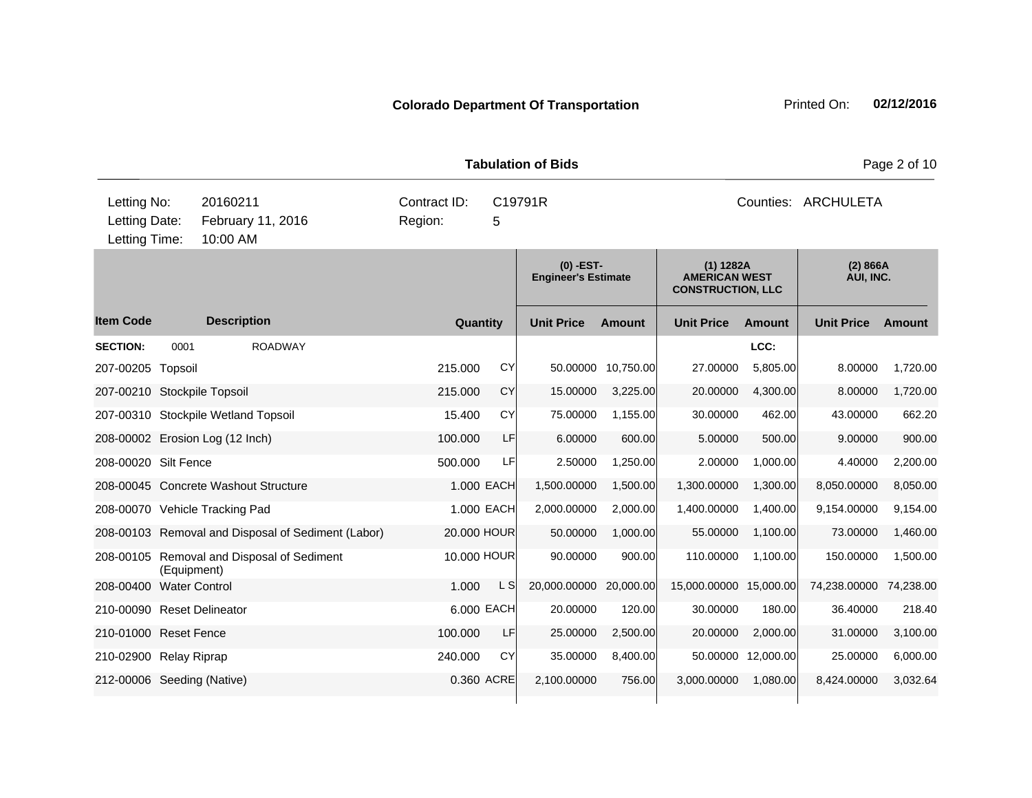|                                               |             |                                                    |                                         |            | <b>Tabulation of Bids</b>                 |               | Page 2 of 10                                                    |               |                       |           |  |
|-----------------------------------------------|-------------|----------------------------------------------------|-----------------------------------------|------------|-------------------------------------------|---------------|-----------------------------------------------------------------|---------------|-----------------------|-----------|--|
| Letting No:<br>Letting Date:<br>Letting Time: |             | 20160211<br>February 11, 2016<br>10:00 AM          | Contract ID:<br>C19791R<br>Region:<br>5 |            |                                           |               | Counties: ARCHULETA                                             |               |                       |           |  |
|                                               |             |                                                    |                                         |            | $(0)$ -EST-<br><b>Engineer's Estimate</b> |               | $(1)$ 1282A<br><b>AMERICAN WEST</b><br><b>CONSTRUCTION, LLC</b> |               | (2) 866A<br>AUI, INC. |           |  |
| <b>Item Code</b>                              |             | <b>Description</b>                                 | <b>Quantity</b>                         |            | <b>Unit Price</b>                         | <b>Amount</b> | <b>Unit Price</b>                                               | <b>Amount</b> | <b>Unit Price</b>     | Amount    |  |
| <b>SECTION:</b>                               | 0001        | <b>ROADWAY</b>                                     |                                         |            |                                           |               |                                                                 | LCC:          |                       |           |  |
| 207-00205 Topsoil                             |             |                                                    | 215.000                                 | CY         | 50.00000                                  | 10,750.00     | 27.00000                                                        | 5,805.00      | 8.00000               | 1,720.00  |  |
| 207-00210 Stockpile Topsoil                   |             |                                                    | 215.000                                 | CY         | 15.00000                                  | 3,225.00      | 20.00000                                                        | 4,300.00      | 8.00000               | 1,720.00  |  |
|                                               |             | 207-00310 Stockpile Wetland Topsoil                | 15.400                                  | CY         | 75.00000                                  | 1,155.00      | 30.00000                                                        | 462.00        | 43.00000              | 662.20    |  |
|                                               |             | 208-00002 Erosion Log (12 Inch)                    | 100.000                                 | LF         | 6.00000                                   | 600.00        | 5.00000                                                         | 500.00        | 9.00000               | 900.00    |  |
| 208-00020 Silt Fence                          |             |                                                    | 500.000                                 | LFI        | 2.50000                                   | 1,250.00      | 2.00000                                                         | 1,000.00      | 4.40000               | 2,200.00  |  |
|                                               |             | 208-00045 Concrete Washout Structure               |                                         | 1.000 EACH | 1,500.00000                               | 1,500.00      | 1,300.00000                                                     | 1,300.00      | 8,050.00000           | 8,050.00  |  |
|                                               |             | 208-00070 Vehicle Tracking Pad                     |                                         | 1.000 EACH | 2,000.00000                               | 2,000.00      | 1,400.00000                                                     | 1,400.00      | 9,154.00000           | 9,154.00  |  |
|                                               |             | 208-00103 Removal and Disposal of Sediment (Labor) | 20,000 HOUR                             |            | 50.00000                                  | 1,000.00      | 55.00000                                                        | 1,100.00      | 73.00000              | 1,460.00  |  |
|                                               | (Equipment) | 208-00105 Removal and Disposal of Sediment         | 10.000 HOUR                             |            | 90.00000                                  | 900.00        | 110.00000                                                       | 1,100.00      | 150.00000             | 1,500.00  |  |
| 208-00400 Water Control                       |             |                                                    | 1.000                                   | L S        | 20,000.00000                              | 20,000.00     | 15,000.00000 15,000.00                                          |               | 74,238.00000          | 74,238.00 |  |
| 210-00090 Reset Delineator                    |             |                                                    |                                         | 6.000 EACH | 20.00000                                  | 120.00        | 30.00000                                                        | 180.00        | 36.40000              | 218.40    |  |
| 210-01000 Reset Fence                         |             |                                                    | 100.000                                 | LF         | 25.00000                                  | 2,500.00      | 20.00000                                                        | 2,000.00      | 31.00000              | 3,100.00  |  |
| 210-02900 Relay Riprap                        |             |                                                    | 240.000                                 | CY         | 35.00000                                  | 8,400.00      | 50.00000                                                        | 12,000.00     | 25.00000              | 6,000.00  |  |
| 212-00006 Seeding (Native)                    |             |                                                    |                                         | 0.360 ACRE | 2,100.00000                               | 756.00        | 3,000.00000                                                     | 1,080.00      | 8,424.00000           | 3,032.64  |  |
|                                               |             |                                                    |                                         |            |                                           |               |                                                                 |               |                       |           |  |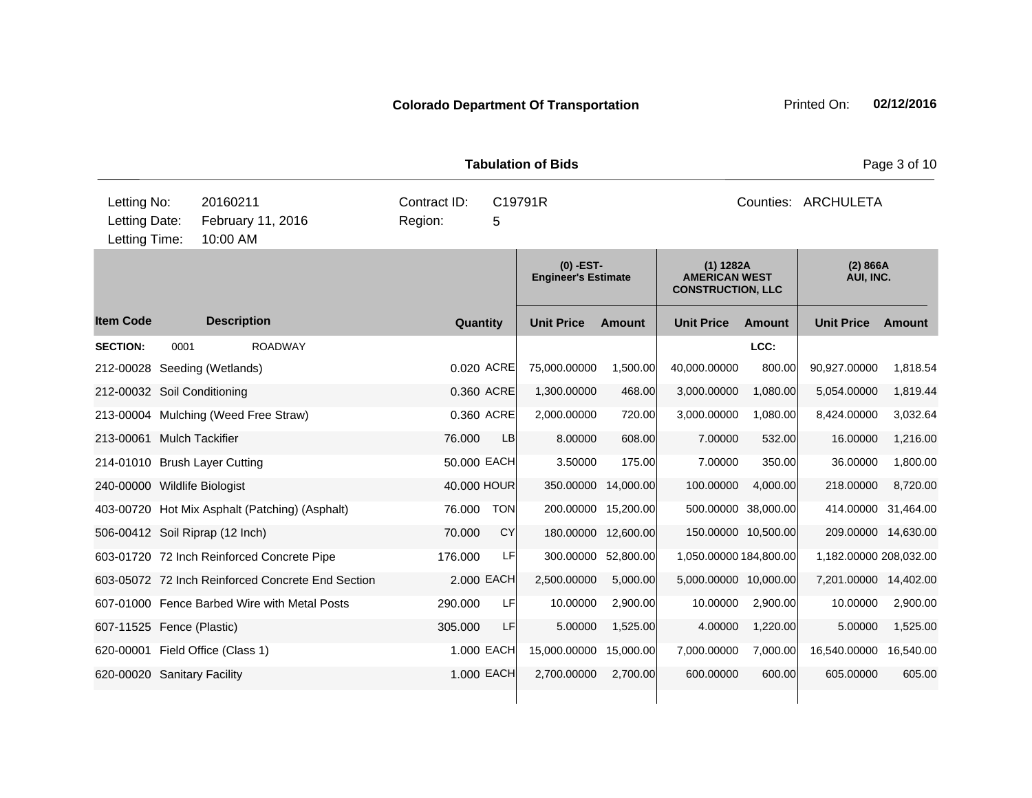|                                               |      |                      |                                                   |                         |             | <b>Tabulation of Bids</b>                 |                     |                                                                 |               |                        | Page 3 of 10 |  |
|-----------------------------------------------|------|----------------------|---------------------------------------------------|-------------------------|-------------|-------------------------------------------|---------------------|-----------------------------------------------------------------|---------------|------------------------|--------------|--|
| Letting No:<br>Letting Date:<br>Letting Time: |      | 20160211<br>10:00 AM | February 11, 2016                                 | Contract ID:<br>Region: | 5           | C19791R                                   |                     | Counties: ARCHULETA                                             |               |                        |              |  |
|                                               |      |                      |                                                   |                         |             | $(0)$ -EST-<br><b>Engineer's Estimate</b> |                     | $(1)$ 1282A<br><b>AMERICAN WEST</b><br><b>CONSTRUCTION, LLC</b> |               | (2) 866A<br>AUI, INC.  |              |  |
| <b>Item Code</b>                              |      | <b>Description</b>   |                                                   |                         | Quantity    | <b>Unit Price</b>                         | <b>Amount</b>       | <b>Unit Price</b>                                               | <b>Amount</b> | <b>Unit Price</b>      | Amount       |  |
| <b>SECTION:</b>                               | 0001 |                      | <b>ROADWAY</b>                                    |                         |             |                                           |                     |                                                                 | LCC:          |                        |              |  |
| 212-00028 Seeding (Wetlands)                  |      |                      |                                                   |                         | 0.020 ACRE  | 75,000.00000                              | 1,500.00            | 40,000.00000                                                    | 800.00        | 90,927.00000           | 1,818.54     |  |
| 212-00032 Soil Conditioning                   |      |                      |                                                   |                         | 0.360 ACRE  | 1,300.00000                               | 468.00              | 3,000.00000                                                     | 1,080.00      | 5,054.00000            | 1,819.44     |  |
| 213-00004 Mulching (Weed Free Straw)          |      |                      |                                                   |                         | 0.360 ACRE  | 2,000.00000                               | 720.00              | 3,000.00000                                                     | 1,080.00      | 8,424.00000            | 3,032.64     |  |
| 213-00061 Mulch Tackifier                     |      |                      |                                                   | 76.000                  | LB          | 8.00000                                   | 608.00              | 7.00000                                                         | 532.00        | 16.00000               | 1,216.00     |  |
| 214-01010 Brush Layer Cutting                 |      |                      |                                                   |                         | 50.000 EACH | 3.50000                                   | 175.00              | 7.00000                                                         | 350.00        | 36.00000               | 1,800.00     |  |
| 240-00000 Wildlife Biologist                  |      |                      |                                                   |                         | 40.000 HOUR | 350.00000                                 | 14,000.00           | 100.00000                                                       | 4,000.00      | 218.00000              | 8,720.00     |  |
|                                               |      |                      | 403-00720 Hot Mix Asphalt (Patching) (Asphalt)    | 76.000                  | <b>TON</b>  |                                           | 200.00000 15,200.00 | 500.00000                                                       | 38,000.00     | 414.00000              | 31,464.00    |  |
| 506-00412 Soil Riprap (12 Inch)               |      |                      |                                                   | 70.000                  | CY          |                                           | 180.00000 12,600.00 | 150.00000 10,500.00                                             |               | 209.00000 14,630.00    |              |  |
|                                               |      |                      | 603-01720 72 Inch Reinforced Concrete Pipe        | 176.000                 | LF          |                                           | 300.00000 52,800.00 | 1,050.00000 184,800.00                                          |               | 1,182.00000 208,032.00 |              |  |
|                                               |      |                      | 603-05072 72 Inch Reinforced Concrete End Section |                         | 2.000 EACH  | 2,500.00000                               | 5,000.00            | 5,000.00000 10,000.00                                           |               | 7,201.00000            | 14,402.00    |  |
|                                               |      |                      | 607-01000 Fence Barbed Wire with Metal Posts      | 290.000                 | LF          | 10.00000                                  | 2,900.00            | 10.00000                                                        | 2,900.00      | 10.00000               | 2,900.00     |  |
| 607-11525 Fence (Plastic)                     |      |                      |                                                   | 305.000                 | LF          | 5.00000                                   | 1,525.00            | 4.00000                                                         | 1,220.00      | 5.00000                | 1,525.00     |  |
| 620-00001 Field Office (Class 1)              |      |                      |                                                   |                         | 1.000 EACH  | 15,000.00000                              | 15,000.00           | 7,000.00000                                                     | 7,000.00      | 16,540.00000           | 16,540.00    |  |
| 620-00020 Sanitary Facility                   |      |                      |                                                   |                         | 1.000 EACH  | 2,700.00000                               | 2,700.00            | 600.00000                                                       | 600.00        | 605.00000              | 605.00       |  |
|                                               |      |                      |                                                   |                         |             |                                           |                     |                                                                 |               |                        |              |  |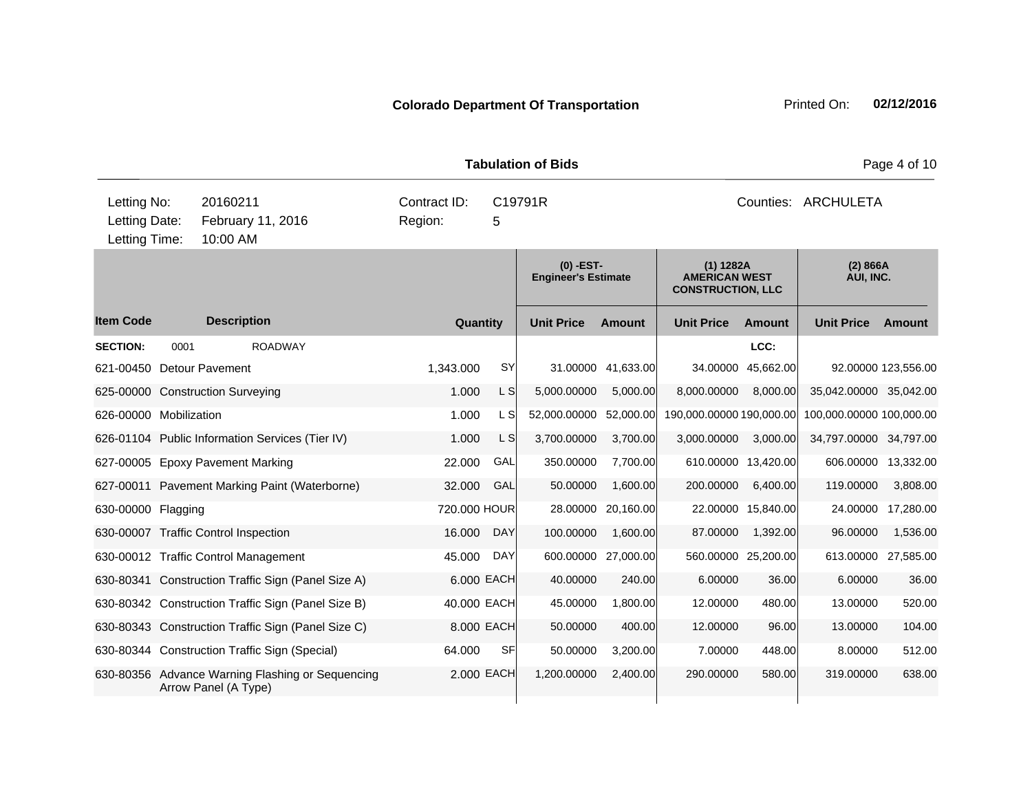| <b>Tabulation of Bids</b> |                                                                                                                       |                                                                          |  |              |             |                                           |               |                                                               | Page 4 of 10        |                          |                     |
|---------------------------|-----------------------------------------------------------------------------------------------------------------------|--------------------------------------------------------------------------|--|--------------|-------------|-------------------------------------------|---------------|---------------------------------------------------------------|---------------------|--------------------------|---------------------|
|                           | Letting No:<br>20160211<br>Contract ID:<br>Letting Date:<br>February 11, 2016<br>Region:<br>Letting Time:<br>10:00 AM |                                                                          |  |              | 5           | C19791R                                   |               | Counties: ARCHULETA                                           |                     |                          |                     |
|                           |                                                                                                                       |                                                                          |  |              |             | $(0)$ -EST-<br><b>Engineer's Estimate</b> |               | (1) 1282A<br><b>AMERICAN WEST</b><br><b>CONSTRUCTION, LLC</b> |                     | (2) 866A<br>AUI, INC.    |                     |
| <b>Item Code</b>          |                                                                                                                       | <b>Description</b>                                                       |  | Quantity     |             | <b>Unit Price</b>                         | <b>Amount</b> | <b>Unit Price</b>                                             | <b>Amount</b>       | <b>Unit Price</b>        | Amount              |
| <b>SECTION:</b>           | 0001                                                                                                                  | <b>ROADWAY</b>                                                           |  |              |             |                                           |               |                                                               | LCC:                |                          |                     |
| 621-00450 Detour Pavement |                                                                                                                       |                                                                          |  | 1,343.000    | SY          | 31.00000                                  | 41,633.00     | 34.00000                                                      | 45,662.00           |                          | 92.00000 123,556.00 |
|                           |                                                                                                                       | 625-00000 Construction Surveying                                         |  | 1.000        | $\lfloor$ S | 5,000.00000                               | 5,000.00      | 8,000.00000                                                   | 8,000.00            | 35,042.00000 35,042.00   |                     |
| 626-00000 Mobilization    |                                                                                                                       |                                                                          |  | 1.000        | L SI        | 52,000.00000                              | 52,000.00     | 190,000.00000 190,000.00                                      |                     | 100,000.00000 100,000.00 |                     |
|                           |                                                                                                                       | 626-01104 Public Information Services (Tier IV)                          |  | 1.000        | L SI        | 3,700.00000                               | 3,700.00      | 3,000.00000                                                   | 3,000.00            | 34,797.00000 34,797.00   |                     |
|                           |                                                                                                                       | 627-00005 Epoxy Pavement Marking                                         |  | 22.000       | GAL         | 350.00000                                 | 7,700.00      |                                                               | 610.00000 13,420.00 | 606.00000                | 13,332.00           |
|                           |                                                                                                                       | 627-00011 Pavement Marking Paint (Waterborne)                            |  | 32.000       | GAL         | 50.00000                                  | 1,600.00      | 200.00000                                                     | 6,400.00            | 119.00000                | 3,808.00            |
| 630-00000 Flagging        |                                                                                                                       |                                                                          |  | 720.000 HOUR |             | 28.00000                                  | 20,160.00     |                                                               | 22.00000 15,840.00  | 24.00000                 | 17,280.00           |
|                           |                                                                                                                       | 630-00007 Traffic Control Inspection                                     |  | 16.000       | <b>DAY</b>  | 100.00000                                 | 1,600.00      | 87.00000                                                      | 1,392.00            | 96.00000                 | 1,536.00            |
|                           |                                                                                                                       | 630-00012 Traffic Control Management                                     |  | 45.000       | DAY         | 600.00000                                 | 27,000.00     | 560.00000 25,200.00                                           |                     | 613.00000                | 27,585.00           |
|                           |                                                                                                                       | 630-80341 Construction Traffic Sign (Panel Size A)                       |  |              | 6.000 EACH  | 40.00000                                  | 240.00        | 6.00000                                                       | 36.00               | 6.00000                  | 36.00               |
|                           |                                                                                                                       | 630-80342 Construction Traffic Sign (Panel Size B)                       |  | 40.000 EACH  |             | 45.00000                                  | 1,800.00      | 12.00000                                                      | 480.00              | 13.00000                 | 520.00              |
|                           |                                                                                                                       | 630-80343 Construction Traffic Sign (Panel Size C)                       |  |              | 8.000 EACH  | 50.00000                                  | 400.00        | 12.00000                                                      | 96.00               | 13.00000                 | 104.00              |
|                           |                                                                                                                       | 630-80344 Construction Traffic Sign (Special)                            |  | 64.000       | <b>SF</b>   | 50.00000                                  | 3,200.00      | 7.00000                                                       | 448.00              | 8.00000                  | 512.00              |
|                           |                                                                                                                       | 630-80356 Advance Warning Flashing or Sequencing<br>Arrow Panel (A Type) |  |              | 2.000 EACH  | 1,200.00000                               | 2,400.00      | 290.00000                                                     | 580.00              | 319.00000                | 638.00              |
|                           |                                                                                                                       |                                                                          |  |              |             |                                           |               |                                                               |                     |                          |                     |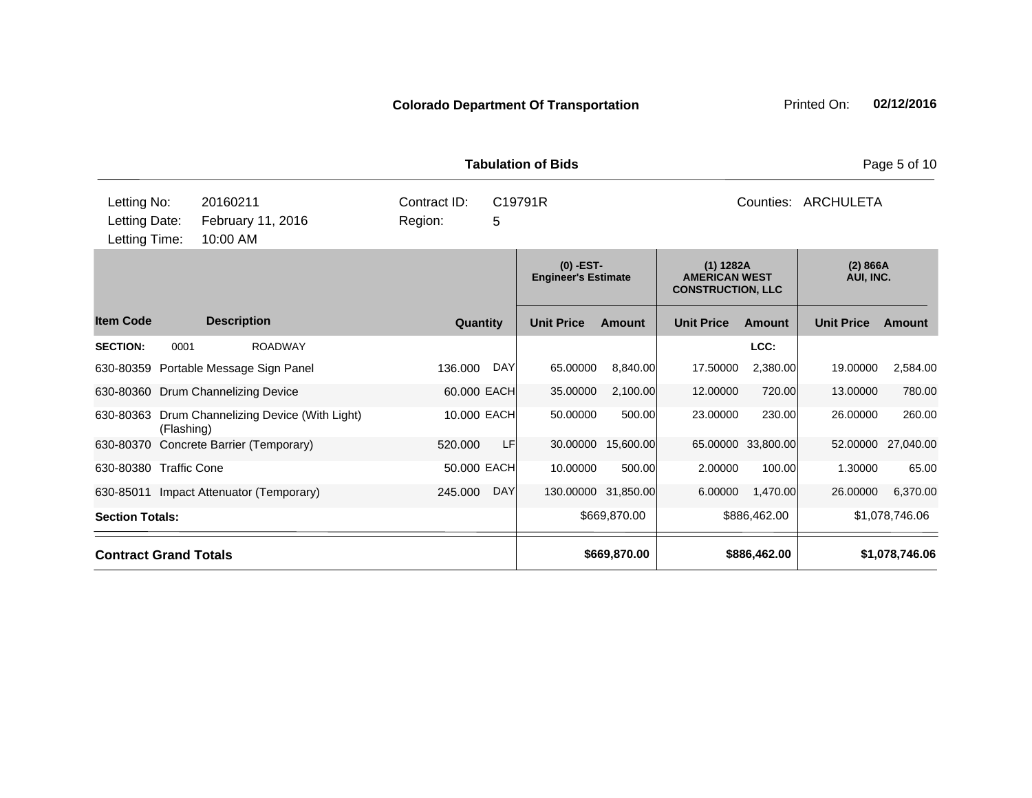|                                                                                            |                    |                              | <b>Tabulation of Bids</b>                 | Page 5 of 10                                                  |                             |  |  |  |  |
|--------------------------------------------------------------------------------------------|--------------------|------------------------------|-------------------------------------------|---------------------------------------------------------------|-----------------------------|--|--|--|--|
| Letting No:<br>20160211<br>Letting Date:<br>February 11, 2016<br>Letting Time:<br>10:00 AM |                    | Contract ID:<br>Region:<br>5 | C19791R                                   | Counties: ARCHULETA                                           |                             |  |  |  |  |
|                                                                                            |                    |                              | $(0)$ -EST-<br><b>Engineer's Estimate</b> | (1) 1282A<br><b>AMERICAN WEST</b><br><b>CONSTRUCTION, LLC</b> | (2) 866A<br>AUI, INC.       |  |  |  |  |
| em Code                                                                                    | <b>Description</b> | Quantity                     | <b>Unit Price</b><br><b>Amount</b>        | <b>Unit Price</b><br>Amount                                   | <b>Unit Price</b><br>Amount |  |  |  |  |
| <b>ECTION:</b><br>0001                                                                     | <b>ROADWAY</b>     |                              |                                           | LCC:                                                          |                             |  |  |  |  |

|                        |                                                               |                       | Lugniver o Louniale |                     | ___________________<br><b>CONSTRUCTION, LLC</b> |                    | . טוויוויווי      |                |
|------------------------|---------------------------------------------------------------|-----------------------|---------------------|---------------------|-------------------------------------------------|--------------------|-------------------|----------------|
| <b>Item Code</b>       | <b>Description</b>                                            | Quantity              | <b>Unit Price</b>   | Amount              | <b>Unit Price</b>                               | Amount             | <b>Unit Price</b> | Amount         |
| <b>SECTION:</b>        | 0001<br><b>ROADWAY</b>                                        |                       |                     |                     |                                                 | LCC:               |                   |                |
|                        | 630-80359 Portable Message Sign Panel                         | <b>DAY</b><br>136.000 | 65.00000            | 8,840.00            | 17.50000                                        | 2,380.00           | 19.00000          | 2,584.00       |
|                        | 630-80360 Drum Channelizing Device                            | 60.000 EACH           | 35.00000            | 2,100.00            | 12.00000                                        | 720.00             | 13.00000          | 780.00         |
|                        | 630-80363 Drum Channelizing Device (With Light)<br>(Flashing) | 10,000 EACH           | 50.00000            | 500.00              | 23.00000                                        | 230.00             | 26.00000          | 260.00         |
|                        | 630-80370 Concrete Barrier (Temporary)                        | LFI<br>520,000        | 30.00000            | 15,600.00           |                                                 | 65.00000 33,800.00 | 52,00000          | 27,040.00      |
|                        | 630-80380 Traffic Cone                                        | 50.000 EACH           | 10.00000            | 500.00              | 2.00000                                         | 100.00             | 1.30000           | 65.00          |
| 630-85011              | Impact Attenuator (Temporary)                                 | <b>DAY</b><br>245,000 |                     | 130.00000 31,850.00 | 6.00000                                         | 1,470.00           | 26.00000          | 6,370.00       |
| <b>Section Totals:</b> |                                                               |                       |                     | \$669,870.00        |                                                 | \$886,462.00       |                   | \$1,078,746.06 |
|                        | <b>Contract Grand Totals</b>                                  |                       |                     | \$669,870.00        |                                                 | \$886,462.00       |                   | \$1,078,746.06 |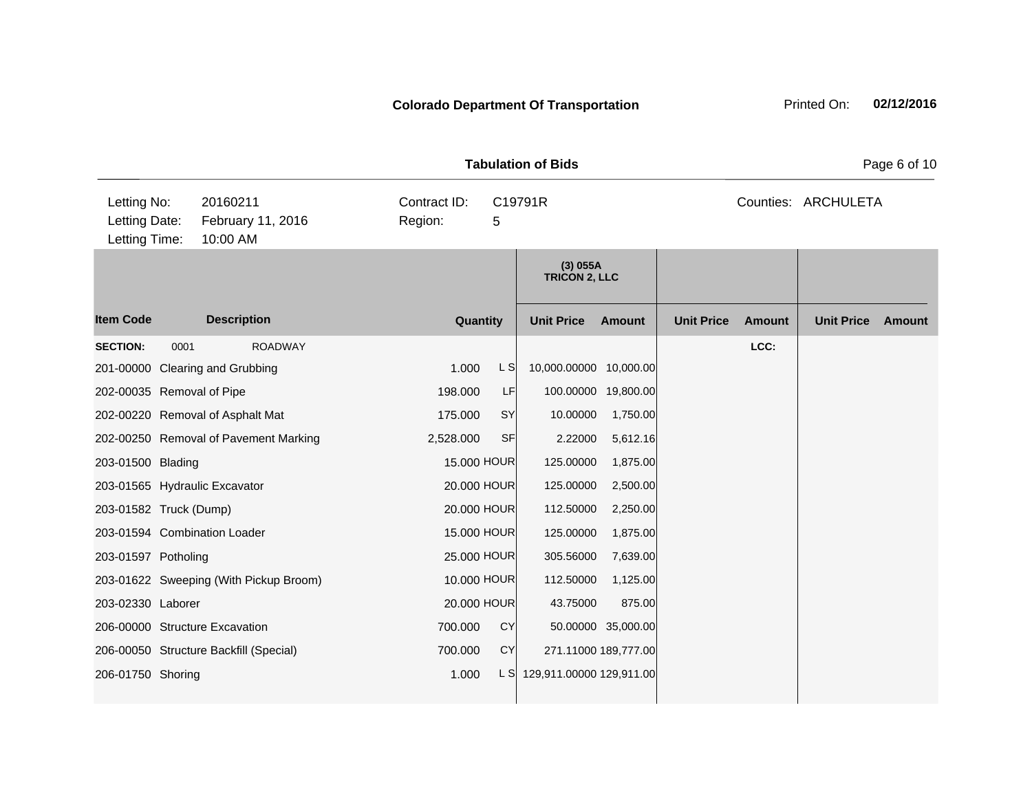|                                               |      |                                           |                         |             | Page 6 of 10 |                                    |                      |                   |               |                     |               |
|-----------------------------------------------|------|-------------------------------------------|-------------------------|-------------|--------------|------------------------------------|----------------------|-------------------|---------------|---------------------|---------------|
| Letting No:<br>Letting Date:<br>Letting Time: |      | 20160211<br>February 11, 2016<br>10:00 AM | Contract ID:<br>Region: |             | 5            | C19791R                            |                      |                   |               | Counties: ARCHULETA |               |
|                                               |      |                                           |                         |             |              | $(3)$ 055A<br><b>TRICON 2, LLC</b> |                      |                   |               |                     |               |
| <b>Item Code</b>                              |      | <b>Description</b>                        |                         | Quantity    |              | <b>Unit Price</b>                  | <b>Amount</b>        | <b>Unit Price</b> | <b>Amount</b> | <b>Unit Price</b>   | <b>Amount</b> |
| <b>SECTION:</b>                               | 0001 | <b>ROADWAY</b>                            |                         |             |              |                                    |                      |                   | LCC:          |                     |               |
|                                               |      | 201-00000 Clearing and Grubbing           |                         | 1.000       | L S          | 10,000.00000 10,000.00             |                      |                   |               |                     |               |
| 202-00035 Removal of Pipe                     |      |                                           |                         | 198.000     | LF           |                                    | 100.00000 19,800.00  |                   |               |                     |               |
|                                               |      | 202-00220 Removal of Asphalt Mat          |                         | 175.000     | SY           | 10.00000                           | 1,750.00             |                   |               |                     |               |
|                                               |      | 202-00250 Removal of Pavement Marking     |                         | 2,528.000   | <b>SF</b>    | 2.22000                            | 5,612.16             |                   |               |                     |               |
| 203-01500 Blading                             |      |                                           |                         | 15.000 HOUR |              | 125.00000                          | 1,875.00             |                   |               |                     |               |
|                                               |      | 203-01565 Hydraulic Excavator             |                         | 20.000 HOUR |              | 125.00000                          | 2,500.00             |                   |               |                     |               |
| 203-01582 Truck (Dump)                        |      |                                           |                         | 20.000 HOUR |              | 112.50000                          | 2,250.00             |                   |               |                     |               |
|                                               |      | 203-01594 Combination Loader              |                         | 15.000 HOUR |              | 125.00000                          | 1,875.00             |                   |               |                     |               |
| 203-01597 Potholing                           |      |                                           |                         | 25.000 HOUR |              | 305.56000                          | 7,639.00             |                   |               |                     |               |
|                                               |      | 203-01622 Sweeping (With Pickup Broom)    |                         | 10.000 HOUR |              | 112.50000                          | 1,125.00             |                   |               |                     |               |
| 203-02330 Laborer                             |      |                                           |                         | 20.000 HOUR |              | 43.75000                           | 875.00               |                   |               |                     |               |
|                                               |      | 206-00000 Structure Excavation            |                         | 700.000     | <b>CY</b>    |                                    | 50.00000 35,000.00   |                   |               |                     |               |
|                                               |      | 206-00050 Structure Backfill (Special)    |                         | 700.000     | <b>CY</b>    |                                    | 271.11000 189,777.00 |                   |               |                     |               |
| 206-01750 Shoring                             |      |                                           |                         | 1.000       | L S          | 129,911.00000 129,911.00           |                      |                   |               |                     |               |
|                                               |      |                                           |                         |             |              |                                    |                      |                   |               |                     |               |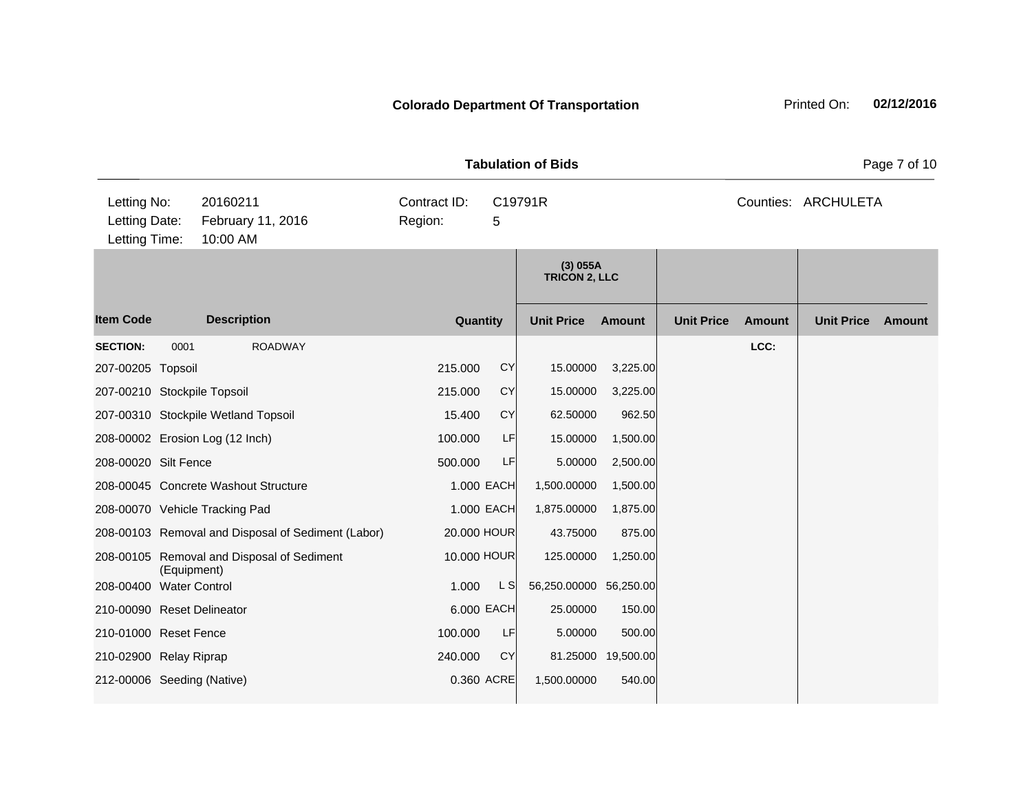|                                               |             |                                                    |                         |           | <b>Tabulation of Bids</b>          | Page 7 of 10       |                   |               |                     |               |
|-----------------------------------------------|-------------|----------------------------------------------------|-------------------------|-----------|------------------------------------|--------------------|-------------------|---------------|---------------------|---------------|
| Letting No:<br>Letting Date:<br>Letting Time: |             | 20160211<br>February 11, 2016<br>10:00 AM          | Contract ID:<br>Region: | 5         | C19791R                            |                    |                   |               | Counties: ARCHULETA |               |
|                                               |             |                                                    |                         |           | $(3)$ 055A<br><b>TRICON 2, LLC</b> |                    |                   |               |                     |               |
| <b>Item Code</b>                              |             | <b>Description</b>                                 | Quantity                |           | <b>Unit Price</b>                  | <b>Amount</b>      | <b>Unit Price</b> | <b>Amount</b> | <b>Unit Price</b>   | <b>Amount</b> |
| <b>SECTION:</b>                               | 0001        | <b>ROADWAY</b>                                     |                         |           |                                    |                    |                   | LCC:          |                     |               |
| 207-00205 Topsoil                             |             |                                                    | 215.000                 | CY        | 15.00000                           | 3,225.00           |                   |               |                     |               |
| 207-00210 Stockpile Topsoil                   |             |                                                    | 215.000                 | <b>CY</b> | 15.00000                           | 3,225.00           |                   |               |                     |               |
|                                               |             | 207-00310 Stockpile Wetland Topsoil                | 15.400                  | <b>CY</b> | 62.50000                           | 962.50             |                   |               |                     |               |
| 208-00002 Erosion Log (12 Inch)               |             |                                                    | 100.000                 | LF        | 15.00000                           | 1,500.00           |                   |               |                     |               |
| 208-00020 Silt Fence                          |             |                                                    | 500.000                 | LF        | 5.00000                            | 2,500.00           |                   |               |                     |               |
|                                               |             | 208-00045 Concrete Washout Structure               | 1.000 EACH              |           | 1,500.00000                        | 1,500.00           |                   |               |                     |               |
| 208-00070 Vehicle Tracking Pad                |             |                                                    | 1.000 EACH              |           | 1,875.00000                        | 1,875.00           |                   |               |                     |               |
|                                               |             | 208-00103 Removal and Disposal of Sediment (Labor) | 20.000 HOUR             |           | 43.75000                           | 875.00             |                   |               |                     |               |
|                                               | (Equipment) | 208-00105 Removal and Disposal of Sediment         | 10.000 HOUR             |           | 125.00000                          | 1,250.00           |                   |               |                     |               |
| 208-00400 Water Control                       |             |                                                    | 1.000                   | L SI      | 56,250.00000 56,250.00             |                    |                   |               |                     |               |
| 210-00090 Reset Delineator                    |             |                                                    | 6.000 EACH              |           | 25.00000                           | 150.00             |                   |               |                     |               |
| 210-01000 Reset Fence                         |             |                                                    | 100.000                 | LF        | 5.00000                            | 500.00             |                   |               |                     |               |
| 210-02900 Relay Riprap                        |             |                                                    | 240.000                 | <b>CY</b> |                                    | 81.25000 19,500.00 |                   |               |                     |               |
| 212-00006 Seeding (Native)                    |             |                                                    | 0.360 ACRE              |           | 1,500.00000                        | 540.00             |                   |               |                     |               |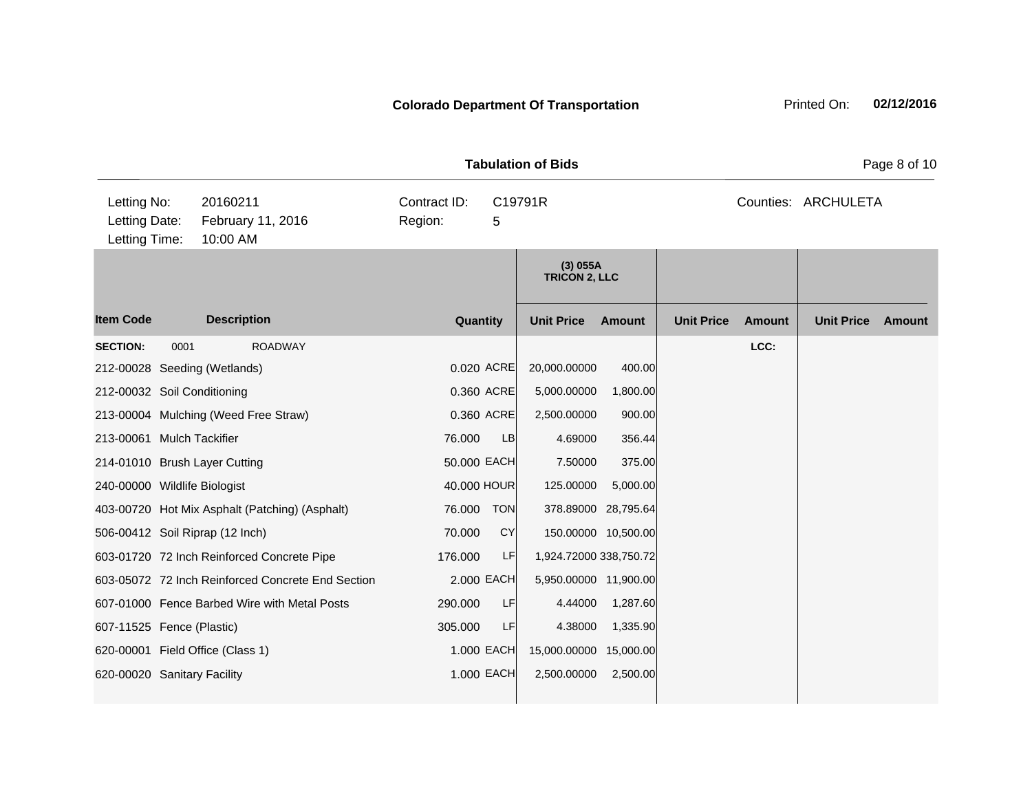|                                               |      |                                                   | <b>Tabulation of Bids</b> |             | Page 8 of 10                       |                     |                   |               |                     |        |
|-----------------------------------------------|------|---------------------------------------------------|---------------------------|-------------|------------------------------------|---------------------|-------------------|---------------|---------------------|--------|
| Letting No:<br>Letting Date:<br>Letting Time: |      | 20160211<br>February 11, 2016<br>10:00 AM         | Contract ID:<br>Region:   | 5           | C19791R                            |                     |                   |               | Counties: ARCHULETA |        |
|                                               |      |                                                   |                           |             | $(3)$ 055A<br><b>TRICON 2, LLC</b> |                     |                   |               |                     |        |
| <b>Item Code</b>                              |      | <b>Description</b>                                |                           | Quantity    | <b>Unit Price</b>                  | Amount              | <b>Unit Price</b> | <b>Amount</b> | <b>Unit Price</b>   | Amount |
| <b>SECTION:</b>                               | 0001 | <b>ROADWAY</b>                                    |                           |             |                                    |                     |                   | LCC:          |                     |        |
|                                               |      | 212-00028 Seeding (Wetlands)                      |                           | 0.020 ACRE  | 20,000.00000                       | 400.00              |                   |               |                     |        |
| 212-00032 Soil Conditioning                   |      |                                                   |                           | 0.360 ACRE  | 5,000.00000                        | 1,800.00            |                   |               |                     |        |
|                                               |      | 213-00004 Mulching (Weed Free Straw)              |                           | 0.360 ACRE  | 2,500.00000                        | 900.00              |                   |               |                     |        |
| 213-00061 Mulch Tackifier                     |      |                                                   | 76.000                    | LB          | 4.69000                            | 356.44              |                   |               |                     |        |
|                                               |      | 214-01010 Brush Layer Cutting                     |                           | 50.000 EACH | 7.50000                            | 375.00              |                   |               |                     |        |
| 240-00000 Wildlife Biologist                  |      |                                                   |                           | 40.000 HOUR | 125.00000                          | 5,000.00            |                   |               |                     |        |
|                                               |      | 403-00720 Hot Mix Asphalt (Patching) (Asphalt)    | 76.000                    | <b>TON</b>  | 378.89000                          | 28,795.64           |                   |               |                     |        |
|                                               |      | 506-00412 Soil Riprap (12 Inch)                   | 70.000                    | <b>CY</b>   |                                    | 150.00000 10,500.00 |                   |               |                     |        |
|                                               |      | 603-01720 72 Inch Reinforced Concrete Pipe        | 176.000                   | LF          | 1,924.72000 338,750.72             |                     |                   |               |                     |        |
|                                               |      | 603-05072 72 Inch Reinforced Concrete End Section |                           | 2.000 EACH  | 5,950.00000 11,900.00              |                     |                   |               |                     |        |
|                                               |      | 607-01000 Fence Barbed Wire with Metal Posts      | 290.000                   | LF          | 4.44000                            | 1,287.60            |                   |               |                     |        |
| 607-11525 Fence (Plastic)                     |      |                                                   | 305.000                   | LF          | 4.38000                            | 1,335.90            |                   |               |                     |        |
|                                               |      | 620-00001 Field Office (Class 1)                  |                           | 1.000 EACH  | 15,000.00000                       | 15,000.00           |                   |               |                     |        |
| 620-00020 Sanitary Facility                   |      |                                                   |                           | 1.000 EACH  | 2,500.00000                        | 2,500.00            |                   |               |                     |        |
|                                               |      |                                                   |                           |             |                                    |                     |                   |               |                     |        |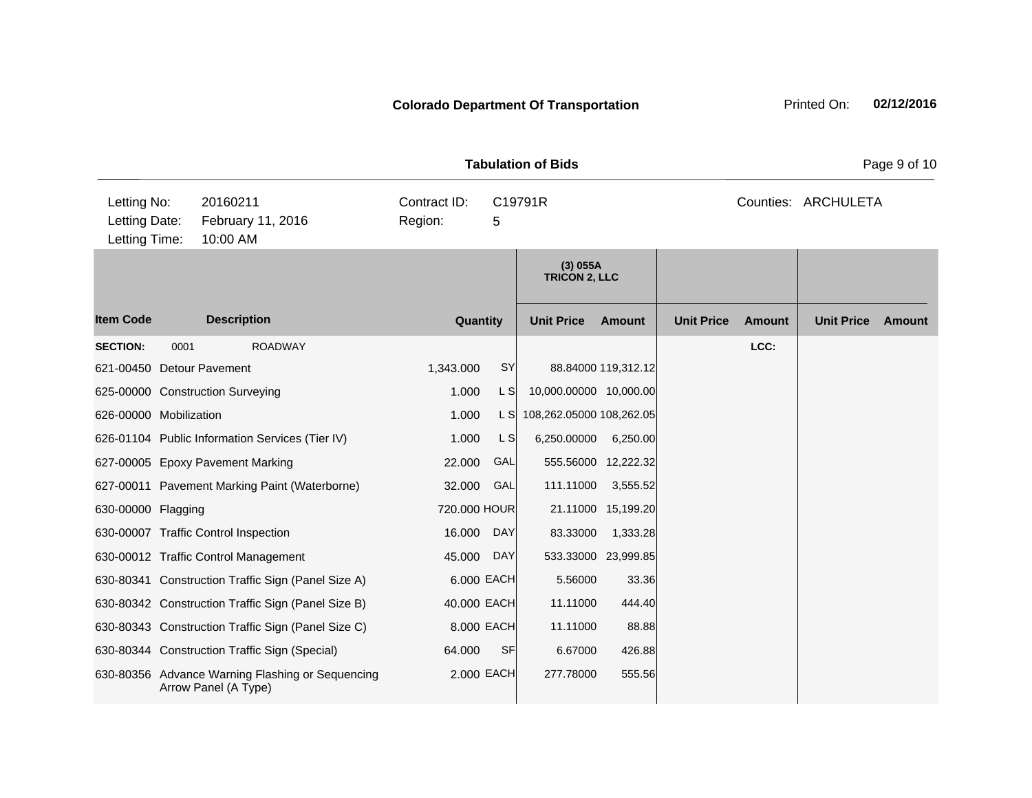| <b>Tabulation of Bids</b>                     |      |                                                                          |                         |             |                                    |                     |                   |               |                     | Page 9 of 10 |  |  |
|-----------------------------------------------|------|--------------------------------------------------------------------------|-------------------------|-------------|------------------------------------|---------------------|-------------------|---------------|---------------------|--------------|--|--|
| Letting No:<br>Letting Date:<br>Letting Time: |      | 20160211<br>February 11, 2016<br>10:00 AM                                | Contract ID:<br>Region: | 5           | C19791R                            |                     |                   |               | Counties: ARCHULETA |              |  |  |
|                                               |      |                                                                          |                         |             | $(3)$ 055A<br><b>TRICON 2, LLC</b> |                     |                   |               |                     |              |  |  |
| <b>Item Code</b>                              |      | <b>Description</b>                                                       | Quantity                |             | <b>Unit Price</b>                  | <b>Amount</b>       | <b>Unit Price</b> | <b>Amount</b> | <b>Unit Price</b>   | Amount       |  |  |
| <b>SECTION:</b>                               | 0001 | <b>ROADWAY</b>                                                           |                         |             |                                    |                     |                   | LCC:          |                     |              |  |  |
| 621-00450 Detour Pavement                     |      |                                                                          | 1,343.000               | SY          |                                    | 88.84000 119,312.12 |                   |               |                     |              |  |  |
|                                               |      | 625-00000 Construction Surveying                                         | 1.000                   | L S         | 10,000.00000 10,000.00             |                     |                   |               |                     |              |  |  |
| 626-00000 Mobilization                        |      |                                                                          | 1.000                   | L SI        | 108,262.05000 108,262.05           |                     |                   |               |                     |              |  |  |
|                                               |      | 626-01104 Public Information Services (Tier IV)                          | 1.000                   | $\lfloor$ S | 6,250.00000                        | 6,250.00            |                   |               |                     |              |  |  |
|                                               |      | 627-00005 Epoxy Pavement Marking                                         | 22.000                  | GAL         | 555.56000 12,222.32                |                     |                   |               |                     |              |  |  |
|                                               |      | 627-00011 Pavement Marking Paint (Waterborne)                            | 32.000                  | GAL         | 111.11000                          | 3,555.52            |                   |               |                     |              |  |  |
| 630-00000 Flagging                            |      |                                                                          | 720.000 HOUR            |             |                                    | 21.11000 15,199.20  |                   |               |                     |              |  |  |
|                                               |      | 630-00007 Traffic Control Inspection                                     | 16.000                  | <b>DAY</b>  | 83.33000                           | 1,333.28            |                   |               |                     |              |  |  |
|                                               |      | 630-00012 Traffic Control Management                                     | 45.000                  | DAY         | 533.33000 23,999.85                |                     |                   |               |                     |              |  |  |
|                                               |      | 630-80341 Construction Traffic Sign (Panel Size A)                       | 6.000 EACH              |             | 5.56000                            | 33.36               |                   |               |                     |              |  |  |
|                                               |      | 630-80342 Construction Traffic Sign (Panel Size B)                       | 40.000 EACH             |             | 11.11000                           | 444.40              |                   |               |                     |              |  |  |
|                                               |      | 630-80343 Construction Traffic Sign (Panel Size C)                       | 8.000 EACH              |             | 11.11000                           | 88.88               |                   |               |                     |              |  |  |
|                                               |      | 630-80344 Construction Traffic Sign (Special)                            | 64.000                  | SF          | 6.67000                            | 426.88              |                   |               |                     |              |  |  |
|                                               |      | 630-80356 Advance Warning Flashing or Sequencing<br>Arrow Panel (A Type) |                         | 2.000 EACH  | 277.78000                          | 555.56              |                   |               |                     |              |  |  |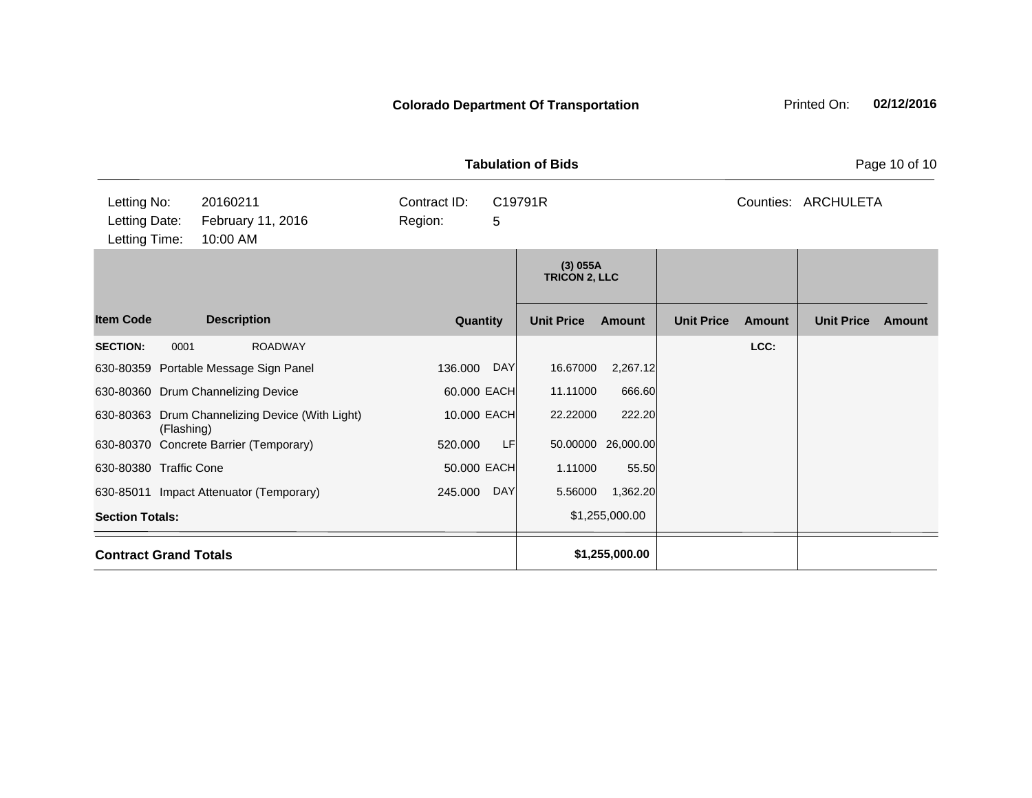|                                                                                            |            |                                                 |                                         |            | <b>Tabulation of Bids</b>          |                    |                     |               |                   | Page 10 of 10 |
|--------------------------------------------------------------------------------------------|------------|-------------------------------------------------|-----------------------------------------|------------|------------------------------------|--------------------|---------------------|---------------|-------------------|---------------|
| Letting No:<br>20160211<br>Letting Date:<br>February 11, 2016<br>Letting Time:<br>10:00 AM |            |                                                 | Contract ID:<br>C19791R<br>Region:<br>5 |            |                                    |                    | Counties: ARCHULETA |               |                   |               |
|                                                                                            |            |                                                 |                                         |            | $(3)$ 055A<br><b>TRICON 2, LLC</b> |                    |                     |               |                   |               |
| <b>Item Code</b>                                                                           |            | <b>Description</b>                              | Quantity                                |            | <b>Unit Price</b>                  | <b>Amount</b>      | <b>Unit Price</b>   | <b>Amount</b> | <b>Unit Price</b> | <b>Amount</b> |
| <b>SECTION:</b>                                                                            | 0001       | <b>ROADWAY</b>                                  |                                         |            |                                    |                    |                     | LCC:          |                   |               |
|                                                                                            |            | 630-80359 Portable Message Sign Panel           | 136.000                                 | DAY        | 16.67000                           | 2,267.12           |                     |               |                   |               |
|                                                                                            |            | 630-80360 Drum Channelizing Device              | 60.000 EACH                             |            | 11.11000                           | 666.60             |                     |               |                   |               |
|                                                                                            | (Flashing) | 630-80363 Drum Channelizing Device (With Light) | 10.000 EACH                             |            | 22.22000                           | 222.20             |                     |               |                   |               |
|                                                                                            |            | 630-80370 Concrete Barrier (Temporary)          | 520.000                                 | LF         |                                    | 50.00000 26,000.00 |                     |               |                   |               |
| 630-80380 Traffic Cone                                                                     |            |                                                 | 50.000 EACH                             |            | 1.11000                            | 55.50              |                     |               |                   |               |
|                                                                                            |            | 630-85011 Impact Attenuator (Temporary)         | 245.000                                 | <b>DAY</b> | 5.56000                            | 1,362.20           |                     |               |                   |               |
| <b>Section Totals:</b>                                                                     |            |                                                 |                                         |            |                                    | \$1,255,000.00     |                     |               |                   |               |
| <b>Contract Grand Totals</b>                                                               |            |                                                 |                                         |            |                                    | \$1,255,000.00     |                     |               |                   |               |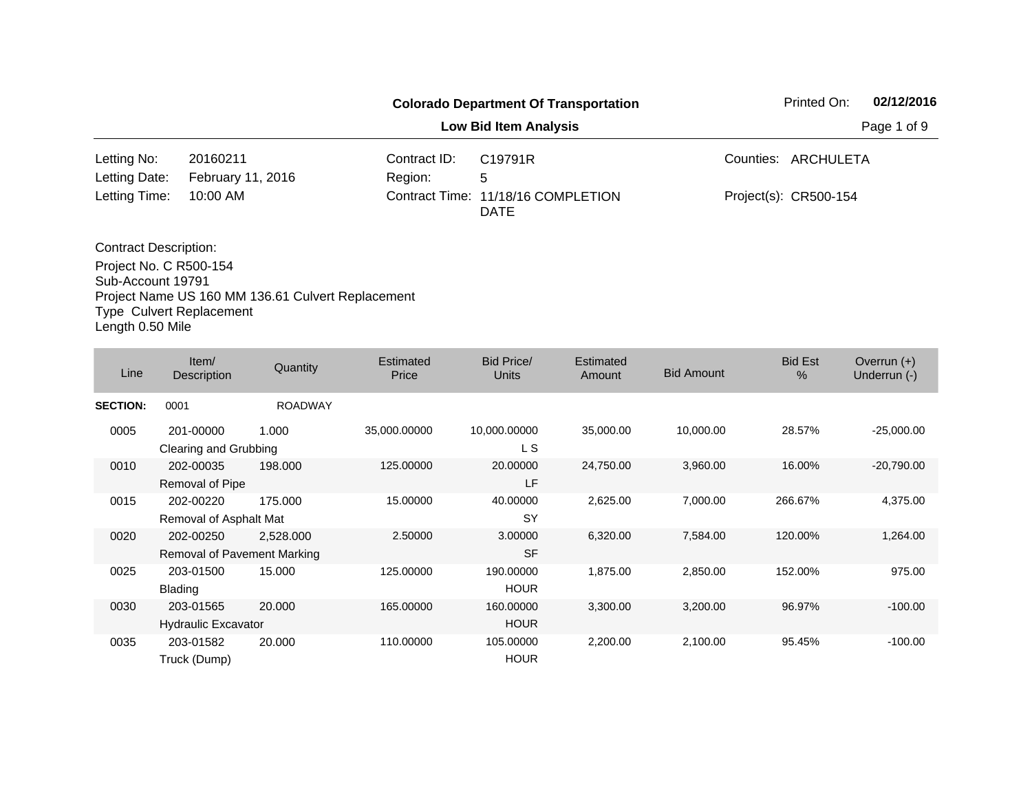|                                 |                                                   |              | <b>Colorado Department Of Transportation</b>      | Printed On:           | 02/12/2016  |
|---------------------------------|---------------------------------------------------|--------------|---------------------------------------------------|-----------------------|-------------|
|                                 |                                                   |              | <b>Low Bid Item Analysis</b>                      |                       | Page 1 of 9 |
| Letting No:                     | 20160211                                          | Contract ID: | C19791R                                           | Counties: ARCHULETA   |             |
| Letting Date:                   | February 11, 2016                                 | Region:      | 5                                                 |                       |             |
| Letting Time:                   | $10:00$ AM                                        |              | Contract Time: 11/18/16 COMPLETION<br><b>DATE</b> | Project(s): CR500-154 |             |
| <b>Contract Description:</b>    |                                                   |              |                                                   |                       |             |
| Project No. C R500-154          |                                                   |              |                                                   |                       |             |
| Sub-Account 19791               |                                                   |              |                                                   |                       |             |
|                                 | Project Name US 160 MM 136.61 Culvert Replacement |              |                                                   |                       |             |
| <b>Type Culvert Replacement</b> |                                                   |              |                                                   |                       |             |

Length 0.50 Mile

| Line            | Item/<br>Description                     | Quantity       | Estimated<br>Price | Bid Price/<br><b>Units</b> | Estimated<br>Amount | <b>Bid Amount</b> | <b>Bid Est</b><br>$\%$ | Overrun $(+)$<br>Underrun (-) |
|-----------------|------------------------------------------|----------------|--------------------|----------------------------|---------------------|-------------------|------------------------|-------------------------------|
| <b>SECTION:</b> | 0001                                     | <b>ROADWAY</b> |                    |                            |                     |                   |                        |                               |
| 0005            | 201-00000<br>Clearing and Grubbing       | 1.000          | 35,000.00000       | 10,000.00000<br>L S        | 35,000.00           | 10,000.00         | 28.57%                 | $-25,000.00$                  |
| 0010            | 202-00035<br>Removal of Pipe             | 198,000        | 125.00000          | 20.00000<br>LF             | 24,750.00           | 3,960.00          | 16.00%                 | $-20,790.00$                  |
| 0015            | 202-00220<br>Removal of Asphalt Mat      | 175.000        | 15.00000           | 40.00000<br><b>SY</b>      | 2,625.00            | 7,000.00          | 266.67%                | 4,375.00                      |
| 0020            | 202-00250<br>Removal of Pavement Marking | 2,528.000      | 2.50000            | 3.00000<br><b>SF</b>       | 6,320.00            | 7,584.00          | 120.00%                | 1,264.00                      |
| 0025            | 203-01500<br>Blading                     | 15.000         | 125.00000          | 190.00000<br><b>HOUR</b>   | 1,875.00            | 2,850.00          | 152.00%                | 975.00                        |
| 0030            | 203-01565<br>Hydraulic Excavator         | 20,000         | 165.00000          | 160.00000<br><b>HOUR</b>   | 3,300.00            | 3,200.00          | 96.97%                 | $-100.00$                     |
| 0035            | 203-01582<br>Truck (Dump)                | 20.000         | 110.00000          | 105.00000<br><b>HOUR</b>   | 2,200.00            | 2,100.00          | 95.45%                 | $-100.00$                     |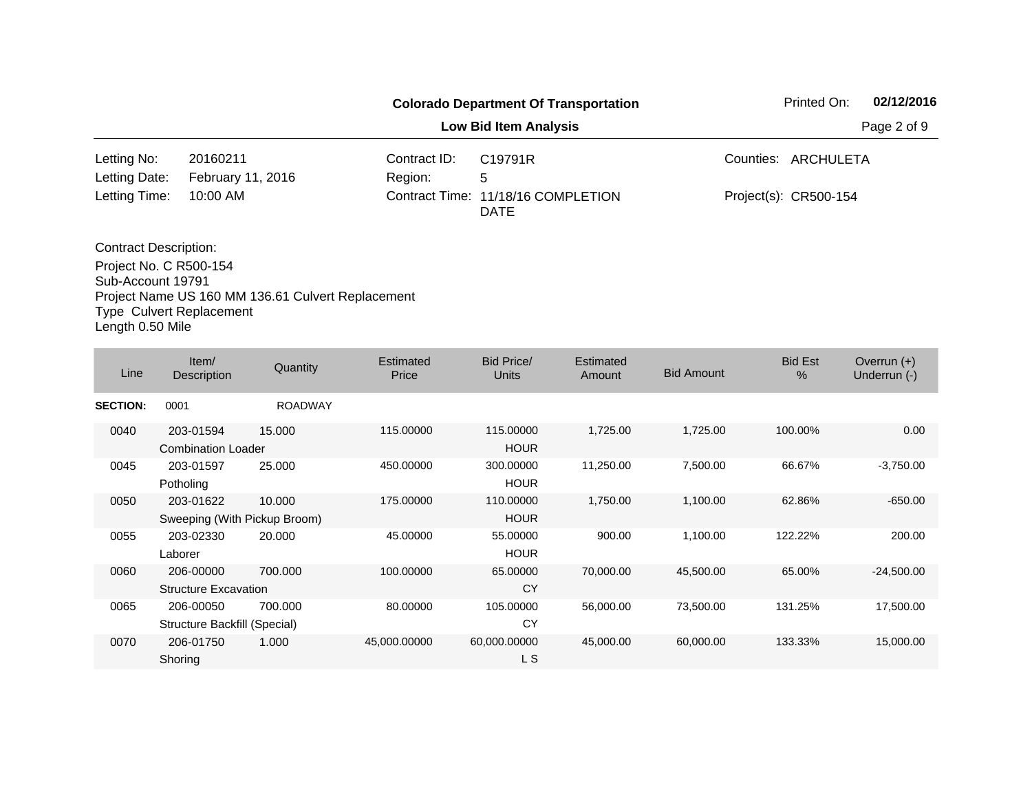|                                                    |                   |              | <b>Colorado Department Of Transportation</b> |             | 02/12/2016<br>Printed On: |  |
|----------------------------------------------------|-------------------|--------------|----------------------------------------------|-------------|---------------------------|--|
|                                                    |                   |              | <b>Low Bid Item Analysis</b>                 | Page 2 of 9 |                           |  |
| Letting No:                                        | 20160211          | Contract ID: | C19791R                                      |             | Counties: ARCHULETA       |  |
| Letting Date:                                      | February 11, 2016 | Region:      | 5                                            |             |                           |  |
| Letting Time:                                      | 10:00 AM          |              | Contract Time: 11/18/16 COMPLETION<br>DATE   |             | Project(s): CR500-154     |  |
| <b>Contract Description:</b>                       |                   |              |                                              |             |                           |  |
| Project No. C R500-154<br>$0.1.12$ $0.223$ $0.704$ |                   |              |                                              |             |                           |  |

Sub-Account 19791 Project Name US 160 MM 136.61 Culvert Replacement Type Culvert Replacement Length 0.50 Mile

| Line            | Item/<br>Description                      | Quantity       | Estimated<br>Price | Bid Price/<br>Units      | Estimated<br>Amount | <b>Bid Amount</b> | <b>Bid Est</b><br>$\%$ | Overrun $(+)$<br>Underrun (-) |
|-----------------|-------------------------------------------|----------------|--------------------|--------------------------|---------------------|-------------------|------------------------|-------------------------------|
| <b>SECTION:</b> | 0001                                      | <b>ROADWAY</b> |                    |                          |                     |                   |                        |                               |
| 0040            | 203-01594<br><b>Combination Loader</b>    | 15.000         | 115.00000          | 115.00000<br><b>HOUR</b> | 1,725.00            | 1,725.00          | 100.00%                | 0.00                          |
| 0045            | 203-01597<br>Potholing                    | 25.000         | 450.00000          | 300.00000<br><b>HOUR</b> | 11,250.00           | 7,500.00          | 66.67%                 | $-3,750.00$                   |
| 0050            | 203-01622<br>Sweeping (With Pickup Broom) | 10.000         | 175.00000          | 110.00000<br><b>HOUR</b> | 1,750.00            | 1,100.00          | 62.86%                 | $-650.00$                     |
| 0055            | 203-02330<br>Laborer                      | 20.000         | 45.00000           | 55.00000<br><b>HOUR</b>  | 900.00              | 1,100.00          | 122.22%                | 200.00                        |
| 0060            | 206-00000<br><b>Structure Excavation</b>  | 700.000        | 100.00000          | 65.00000<br>CY           | 70,000.00           | 45,500.00         | 65.00%                 | $-24,500.00$                  |
| 0065            | 206-00050<br>Structure Backfill (Special) | 700.000        | 80.00000           | 105.00000<br>CY          | 56,000.00           | 73,500.00         | 131.25%                | 17,500.00                     |
| 0070            | 206-01750<br>Shoring                      | 1.000          | 45,000.00000       | 60,000.00000<br>L S      | 45,000.00           | 60,000.00         | 133.33%                | 15,000.00                     |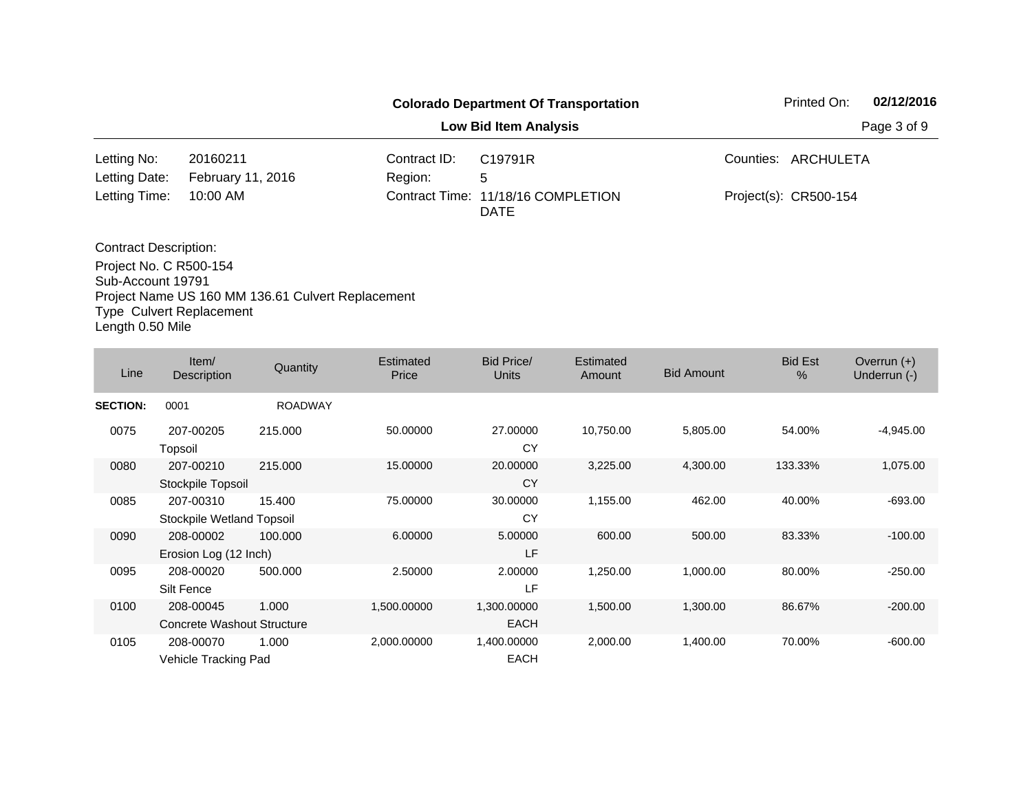|                                             |                                                                                                           |              | <b>Colorado Department Of Transportation</b>      | Printed On:           | 02/12/2016  |
|---------------------------------------------|-----------------------------------------------------------------------------------------------------------|--------------|---------------------------------------------------|-----------------------|-------------|
|                                             |                                                                                                           |              | <b>Low Bid Item Analysis</b>                      |                       | Page 3 of 9 |
| Letting No:                                 | 20160211                                                                                                  | Contract ID: | C19791R                                           | Counties: ARCHULETA   |             |
| Letting Date:                               | February 11, 2016                                                                                         | Region:      | 5                                                 |                       |             |
| Letting Time:                               | 10:00 AM                                                                                                  |              | Contract Time: 11/18/16 COMPLETION<br><b>DATE</b> | Project(s): CR500-154 |             |
| <b>Contract Description:</b>                |                                                                                                           |              |                                                   |                       |             |
| Project No. C R500-154<br>Sub-Account 19791 | $D_{\text{out}}$ is a set of $A$ and $A$ and $A$ and $A$ $D$ is a set of $D_{\text{out}}$ is a set of $A$ |              |                                                   |                       |             |

Project Name US 160 MM 136.61 Culvert Replacement Type Culvert Replacement

Length 0.50 Mile

| Line            | Item/<br>Description                    | Quantity       | Estimated<br>Price | <b>Bid Price/</b><br><b>Units</b> | Estimated<br>Amount | <b>Bid Amount</b> | <b>Bid Est</b><br>$\%$ | Overrun $(+)$<br>Underrun (-) |
|-----------------|-----------------------------------------|----------------|--------------------|-----------------------------------|---------------------|-------------------|------------------------|-------------------------------|
| <b>SECTION:</b> | 0001                                    | <b>ROADWAY</b> |                    |                                   |                     |                   |                        |                               |
| 0075            | 207-00205<br>Topsoil                    | 215,000        | 50.00000           | 27.00000<br>CY                    | 10,750.00           | 5,805.00          | 54.00%                 | $-4,945.00$                   |
| 0080            | 207-00210<br>Stockpile Topsoil          | 215,000        | 15.00000           | 20.00000<br><b>CY</b>             | 3,225.00            | 4,300.00          | 133.33%                | 1,075.00                      |
| 0085            | 207-00310<br>Stockpile Wetland Topsoil  | 15.400         | 75.00000           | 30.00000<br>CY                    | 1,155.00            | 462.00            | 40.00%                 | $-693.00$                     |
| 0090            | 208-00002<br>Erosion Log (12 Inch)      | 100,000        | 6.00000            | 5.00000<br>LF                     | 600.00              | 500.00            | 83.33%                 | $-100.00$                     |
| 0095            | 208-00020<br>Silt Fence                 | 500.000        | 2.50000            | 2.00000<br>LF                     | 1,250.00            | 1,000.00          | 80.00%                 | $-250.00$                     |
| 0100            | 208-00045<br>Concrete Washout Structure | 1.000          | 1,500.00000        | 1,300.00000<br><b>EACH</b>        | 1,500.00            | 1,300.00          | 86.67%                 | $-200.00$                     |
| 0105            | 208-00070<br>Vehicle Tracking Pad       | 1.000          | 2,000.00000        | 1,400.00000<br><b>EACH</b>        | 2,000.00            | 1,400.00          | 70.00%                 | $-600.00$                     |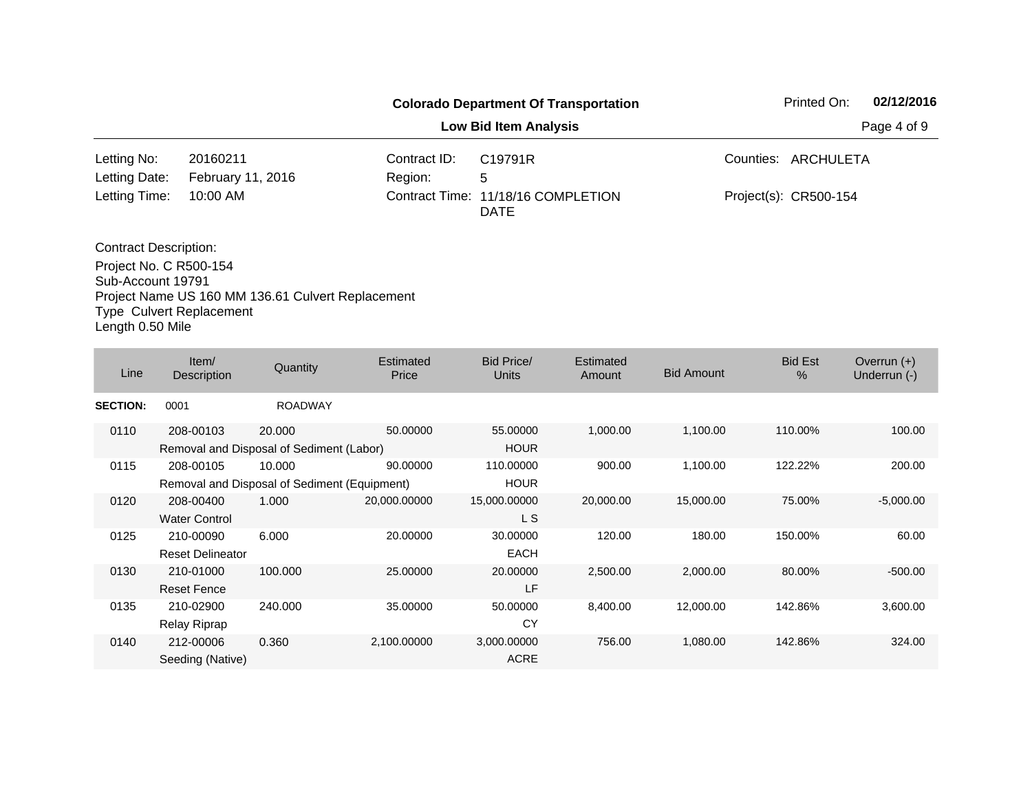|                              |                   |              | <b>Colorado Department Of Transportation</b> | 02/12/2016<br>Printed On: |
|------------------------------|-------------------|--------------|----------------------------------------------|---------------------------|
|                              |                   |              | <b>Low Bid Item Analysis</b>                 | Page 4 of 9               |
| Letting No:                  | 20160211          | Contract ID: | C19791R                                      | Counties: ARCHULETA       |
| Letting Date:                | February 11, 2016 | Region:      | 5                                            |                           |
| Letting Time:                | 10:00 AM          |              | Contract Time: 11/18/16 COMPLETION<br>DATE   | Project(s): CR500-154     |
| <b>Contract Description:</b> |                   |              |                                              |                           |
| Project No. C R500-154       |                   |              |                                              |                           |

Sub-Account 19791 Project Name US 160 MM 136.61 Culvert Replacement Type Culvert Replacement Length 0.50 Mile

| Line            | Item/<br>Description    | Quantity                                     | Estimated<br>Price | Bid Price/<br><b>Units</b> | <b>Estimated</b><br>Amount | <b>Bid Amount</b> | <b>Bid Est</b><br>$\%$ | Overrun $(+)$<br>Underrun (-) |
|-----------------|-------------------------|----------------------------------------------|--------------------|----------------------------|----------------------------|-------------------|------------------------|-------------------------------|
| <b>SECTION:</b> | 0001                    | <b>ROADWAY</b>                               |                    |                            |                            |                   |                        |                               |
| 0110            | 208-00103               | 20.000                                       | 50.00000           | 55.00000                   | 1,000.00                   | 1,100.00          | 110.00%                | 100.00                        |
|                 |                         | Removal and Disposal of Sediment (Labor)     |                    | <b>HOUR</b>                |                            |                   |                        |                               |
| 0115            | 208-00105               | 10.000                                       | 90.00000           | 110.00000                  | 900.00                     | 1,100.00          | 122.22%                | 200.00                        |
|                 |                         | Removal and Disposal of Sediment (Equipment) |                    | <b>HOUR</b>                |                            |                   |                        |                               |
| 0120            | 208-00400               | 1.000                                        | 20,000.00000       | 15,000.00000               | 20,000.00                  | 15,000.00         | 75.00%                 | $-5,000.00$                   |
|                 | <b>Water Control</b>    |                                              |                    | L S                        |                            |                   |                        |                               |
| 0125            | 210-00090               | 6.000                                        | 20.00000           | 30.00000                   | 120.00                     | 180.00            | 150.00%                | 60.00                         |
|                 | <b>Reset Delineator</b> |                                              |                    | <b>EACH</b>                |                            |                   |                        |                               |
| 0130            | 210-01000               | 100.000                                      | 25.00000           | 20.00000                   | 2,500.00                   | 2,000.00          | 80.00%                 | $-500.00$                     |
|                 | <b>Reset Fence</b>      |                                              |                    | LF                         |                            |                   |                        |                               |
| 0135            | 210-02900               | 240,000                                      | 35.00000           | 50.00000                   | 8,400.00                   | 12,000.00         | 142.86%                | 3,600.00                      |
|                 | <b>Relay Riprap</b>     |                                              |                    | CY                         |                            |                   |                        |                               |
| 0140            | 212-00006               | 0.360                                        | 2,100.00000        | 3,000.00000                | 756.00                     | 1,080.00          | 142.86%                | 324.00                        |
|                 | Seeding (Native)        |                                              |                    | <b>ACRE</b>                |                            |                   |                        |                               |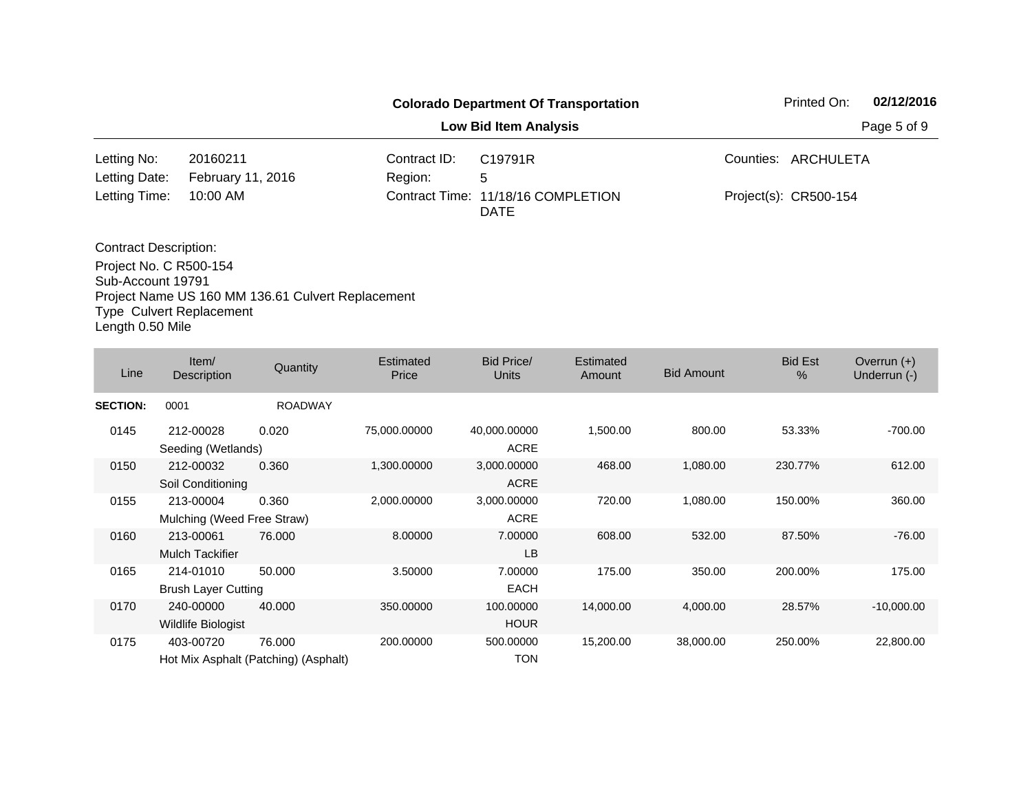|                                             |                                                      |              | <b>Colorado Department Of Transportation</b>      | Printed On:           | 02/12/2016  |
|---------------------------------------------|------------------------------------------------------|--------------|---------------------------------------------------|-----------------------|-------------|
|                                             |                                                      |              | <b>Low Bid Item Analysis</b>                      |                       | Page 5 of 9 |
| Letting No:                                 | 20160211                                             | Contract ID: | C19791R                                           | Counties: ARCHULETA   |             |
| Letting Date:                               | February 11, 2016                                    | Region:      | 5                                                 |                       |             |
| Letting Time:                               | 10:00 AM                                             |              | Contract Time: 11/18/16 COMPLETION<br><b>DATE</b> | Project(s): CR500-154 |             |
| <b>Contract Description:</b>                |                                                      |              |                                                   |                       |             |
| Project No. C R500-154<br>Sub-Account 19791 | Desired Name HO 400 MM 400 04 Ordinant Dambasses and |              |                                                   |                       |             |

Project Name US 160 MM 136.61 Culvert Replacement Type Culvert Replacement Length 0.50 Mile

| Line            | Item/<br>Description                    | Quantity                                       | Estimated<br>Price | Bid Price/<br><b>Units</b>  | Estimated<br>Amount | <b>Bid Amount</b> | <b>Bid Est</b><br>$\%$ | Overrun $(+)$<br>Underrun (-) |
|-----------------|-----------------------------------------|------------------------------------------------|--------------------|-----------------------------|---------------------|-------------------|------------------------|-------------------------------|
| <b>SECTION:</b> | 0001                                    | <b>ROADWAY</b>                                 |                    |                             |                     |                   |                        |                               |
| 0145            | 212-00028<br>Seeding (Wetlands)         | 0.020                                          | 75,000.00000       | 40,000.00000<br><b>ACRE</b> | 1,500.00            | 800.00            | 53.33%                 | $-700.00$                     |
| 0150            | 212-00032<br>Soil Conditioning          | 0.360                                          | 1,300.00000        | 3,000.00000<br><b>ACRE</b>  | 468.00              | 1,080.00          | 230.77%                | 612.00                        |
| 0155            | 213-00004<br>Mulching (Weed Free Straw) | 0.360                                          | 2,000.00000        | 3,000.00000<br><b>ACRE</b>  | 720.00              | 1,080.00          | 150.00%                | 360.00                        |
| 0160            | 213-00061<br><b>Mulch Tackifier</b>     | 76,000                                         | 8.00000            | 7.00000<br>LB               | 608.00              | 532.00            | 87.50%                 | $-76.00$                      |
| 0165            | 214-01010<br><b>Brush Layer Cutting</b> | 50.000                                         | 3.50000            | 7.00000<br><b>EACH</b>      | 175.00              | 350.00            | 200.00%                | 175.00                        |
| 0170            | 240-00000<br>Wildlife Biologist         | 40.000                                         | 350.00000          | 100.00000<br><b>HOUR</b>    | 14,000.00           | 4,000.00          | 28.57%                 | $-10,000.00$                  |
| 0175            | 403-00720                               | 76.000<br>Hot Mix Asphalt (Patching) (Asphalt) | 200,00000          | 500.00000<br><b>TON</b>     | 15,200.00           | 38,000.00         | 250.00%                | 22,800.00                     |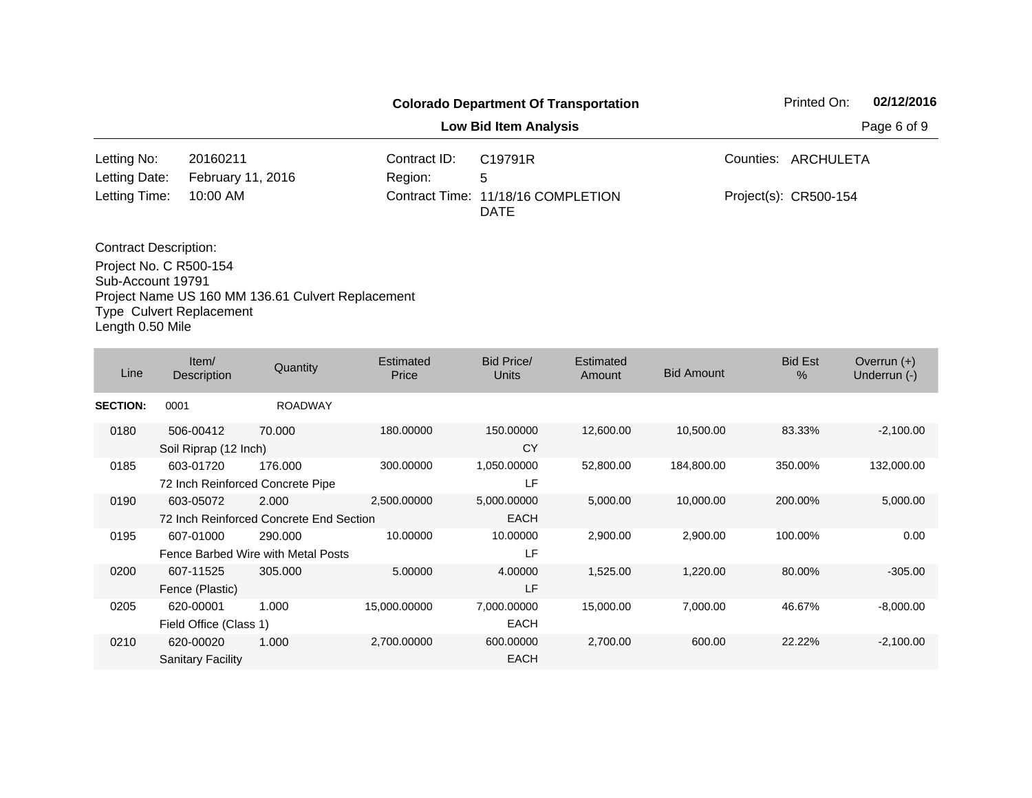|                                                        |                               |                         | <b>Colorado Department Of Transportation</b> | 02/12/2016<br>Printed On: |
|--------------------------------------------------------|-------------------------------|-------------------------|----------------------------------------------|---------------------------|
|                                                        |                               |                         | <b>Low Bid Item Analysis</b>                 | Page 6 of 9               |
| Letting No:<br>Letting Date:                           | 20160211<br>February 11, 2016 | Contract ID:<br>Region: | C19791R<br>5                                 | Counties: ARCHULETA       |
| Letting Time:                                          | 10:00 AM                      |                         | Contract Time: 11/18/16 COMPLETION<br>DATE   | Project(s): CR500-154     |
| <b>Contract Description:</b><br>Project No. C R500-154 |                               |                         |                                              |                           |

Project No. C R500-154 Sub-Account 19791 Project Name US 160 MM 136.61 Culvert Replacement Type Culvert Replacement Length 0.50 Mile

| Line            | Item/<br>Description                  | Quantity                                         | <b>Estimated</b><br>Price | Bid Price/<br><b>Units</b> | <b>Estimated</b><br>Amount | <b>Bid Amount</b> | <b>Bid Est</b><br>$\%$ | Overrun $(+)$<br>Underrun (-) |
|-----------------|---------------------------------------|--------------------------------------------------|---------------------------|----------------------------|----------------------------|-------------------|------------------------|-------------------------------|
| <b>SECTION:</b> | 0001                                  | <b>ROADWAY</b>                                   |                           |                            |                            |                   |                        |                               |
| 0180            | 506-00412<br>Soil Riprap (12 Inch)    | 70.000                                           | 180.00000                 | 150.00000<br>CY            | 12,600.00                  | 10,500.00         | 83.33%                 | $-2,100.00$                   |
| 0185            | 603-01720                             | 176,000<br>72 Inch Reinforced Concrete Pipe      | 300.00000                 | 1,050.00000<br>LF          | 52,800.00                  | 184,800.00        | 350.00%                | 132,000.00                    |
| 0190            | 603-05072                             | 2.000<br>72 Inch Reinforced Concrete End Section | 2,500.00000               | 5,000.00000<br><b>EACH</b> | 5,000.00                   | 10,000.00         | 200.00%                | 5,000.00                      |
| 0195            | 607-01000                             | 290,000<br>Fence Barbed Wire with Metal Posts    | 10.00000                  | 10.00000<br>LF             | 2,900.00                   | 2,900.00          | 100.00%                | 0.00                          |
| 0200            | 607-11525<br>Fence (Plastic)          | 305,000                                          | 5.00000                   | 4.00000<br>LF              | 1,525.00                   | 1,220.00          | 80.00%                 | $-305.00$                     |
| 0205            | 620-00001<br>Field Office (Class 1)   | 1.000                                            | 15,000.00000              | 7,000.00000<br><b>EACH</b> | 15,000.00                  | 7,000.00          | 46.67%                 | $-8,000.00$                   |
| 0210            | 620-00020<br><b>Sanitary Facility</b> | 1.000                                            | 2,700.00000               | 600.00000<br><b>EACH</b>   | 2,700.00                   | 600.00            | 22.22%                 | $-2,100.00$                   |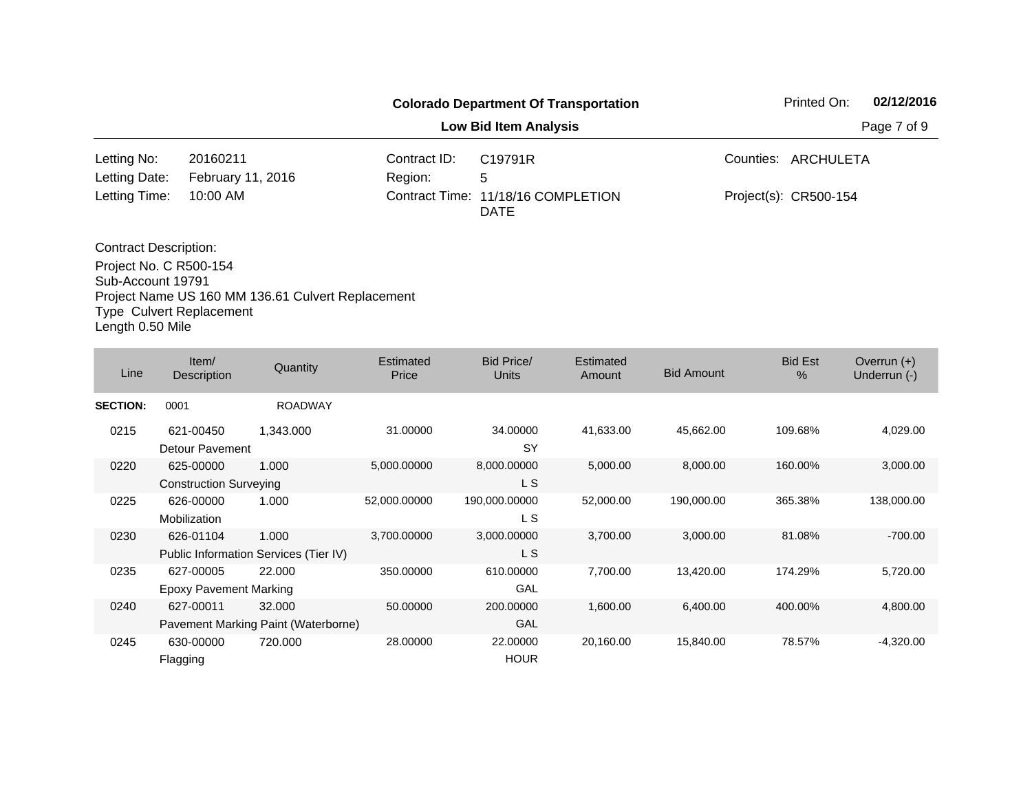|                                 |                                                   |              | <b>Colorado Department Of Transportation</b>      | Printed On:           | 02/12/2016  |
|---------------------------------|---------------------------------------------------|--------------|---------------------------------------------------|-----------------------|-------------|
|                                 |                                                   |              | <b>Low Bid Item Analysis</b>                      |                       | Page 7 of 9 |
| Letting No:                     | 20160211                                          | Contract ID: | C19791R                                           | Counties: ARCHULETA   |             |
| Letting Date:                   | February 11, 2016                                 | Region:      | 5                                                 |                       |             |
| Letting Time:                   | $10:00$ AM                                        |              | Contract Time: 11/18/16 COMPLETION<br><b>DATE</b> | Project(s): CR500-154 |             |
| <b>Contract Description:</b>    |                                                   |              |                                                   |                       |             |
| Project No. C R500-154          |                                                   |              |                                                   |                       |             |
| Sub-Account 19791               |                                                   |              |                                                   |                       |             |
|                                 | Project Name US 160 MM 136.61 Culvert Replacement |              |                                                   |                       |             |
| <b>Type Culvert Replacement</b> |                                                   |              |                                                   |                       |             |

Length 0.50 Mile

| Line            | Item/<br>Description                       | Quantity                                       | Estimated<br>Price | Bid Price/<br><b>Units</b> | <b>Estimated</b><br>Amount | <b>Bid Amount</b> | <b>Bid Est</b><br>$\%$ | Overrun $(+)$<br>Underrun (-) |
|-----------------|--------------------------------------------|------------------------------------------------|--------------------|----------------------------|----------------------------|-------------------|------------------------|-------------------------------|
| <b>SECTION:</b> | 0001                                       | <b>ROADWAY</b>                                 |                    |                            |                            |                   |                        |                               |
| 0215            | 621-00450<br>Detour Pavement               | 1,343.000                                      | 31.00000           | 34.00000<br><b>SY</b>      | 41,633.00                  | 45,662.00         | 109.68%                | 4,029.00                      |
| 0220            | 625-00000<br><b>Construction Surveying</b> | 1.000                                          | 5,000.00000        | 8,000.00000<br>L S         | 5,000.00                   | 8,000.00          | 160.00%                | 3,000.00                      |
| 0225            | 626-00000<br>Mobilization                  | 1.000                                          | 52,000.00000       | 190,000.00000<br>L S       | 52,000.00                  | 190,000.00        | 365.38%                | 138,000.00                    |
| 0230            | 626-01104                                  | 1.000<br>Public Information Services (Tier IV) | 3,700.00000        | 3,000.00000<br>L S         | 3,700.00                   | 3,000.00          | 81.08%                 | $-700.00$                     |
| 0235            | 627-00005<br><b>Epoxy Pavement Marking</b> | 22,000                                         | 350.00000          | 610.00000<br><b>GAL</b>    | 7,700.00                   | 13,420.00         | 174.29%                | 5,720.00                      |
| 0240            | 627-00011                                  | 32,000<br>Pavement Marking Paint (Waterborne)  | 50.00000           | 200.00000<br>GAL           | 1,600.00                   | 6,400.00          | 400.00%                | 4,800.00                      |
| 0245            | 630-00000<br>Flagging                      | 720.000                                        | 28.00000           | 22.00000<br><b>HOUR</b>    | 20,160.00                  | 15,840.00         | 78.57%                 | $-4,320.00$                   |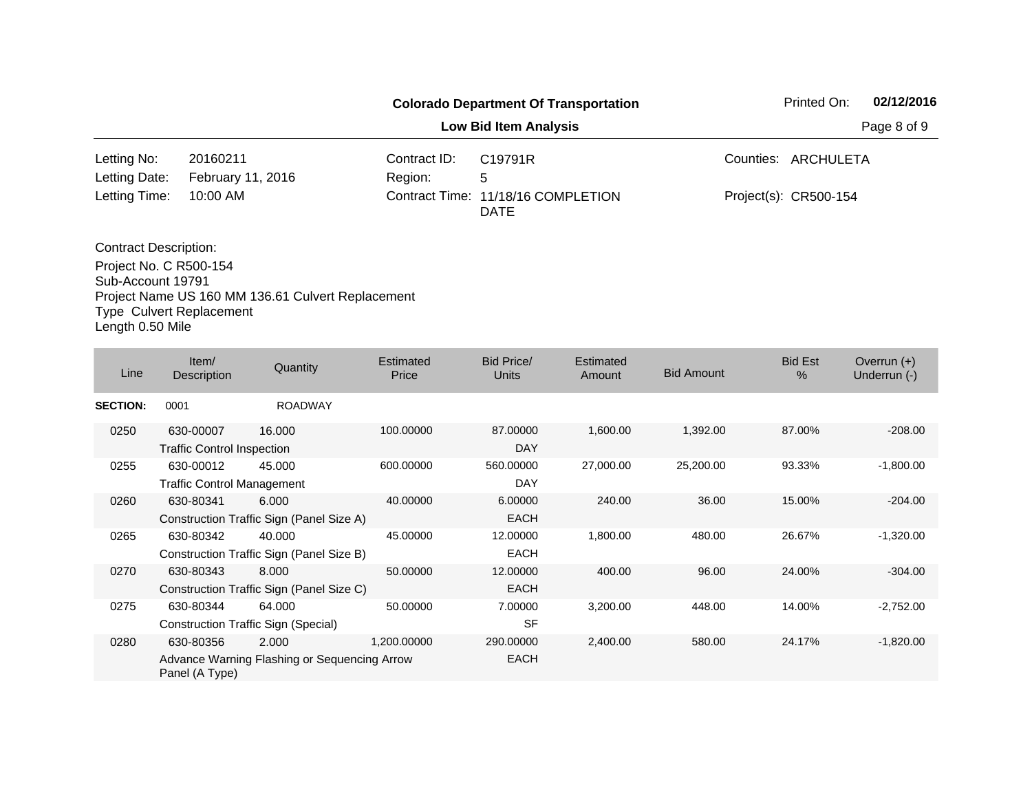|                              |                               |                         | <b>Colorado Department Of Transportation</b> | 02/12/2016<br>Printed On: |
|------------------------------|-------------------------------|-------------------------|----------------------------------------------|---------------------------|
|                              |                               |                         | <b>Low Bid Item Analysis</b>                 | Page 8 of 9               |
| Letting No:<br>Letting Date: | 20160211<br>February 11, 2016 | Contract ID:<br>Region: | C19791R<br>5                                 | Counties: ARCHULETA       |
| Letting Time:                | 10:00 AM                      |                         | Contract Time: 11/18/16 COMPLETION<br>DATE   | Project(s): CR500-154     |
| <b>Contract Description:</b> |                               |                         |                                              |                           |

Project No. C R500-154 Sub-Account 19791 Project Name US 160 MM 136.61 Culvert Replacement Type Culvert Replacement Length 0.50 Mile

| Line            | Item/<br><b>Description</b>                    | Quantity                                              | Estimated<br>Price | Bid Price/<br><b>Units</b> | Estimated<br>Amount | <b>Bid Amount</b> | <b>Bid Est</b><br>$\%$ | Overrun $(+)$<br>Underrun (-) |
|-----------------|------------------------------------------------|-------------------------------------------------------|--------------------|----------------------------|---------------------|-------------------|------------------------|-------------------------------|
| <b>SECTION:</b> | 0001                                           | <b>ROADWAY</b>                                        |                    |                            |                     |                   |                        |                               |
| 0250            | 630-00007<br><b>Traffic Control Inspection</b> | 16.000                                                | 100.00000          | 87.00000<br>DAY            | 1,600.00            | 1,392.00          | 87.00%                 | $-208.00$                     |
| 0255            | 630-00012<br><b>Traffic Control Management</b> | 45.000                                                | 600.00000          | 560.00000<br>DAY           | 27,000.00           | 25,200.00         | 93.33%                 | $-1,800.00$                   |
| 0260            | 630-80341                                      | 6.000<br>Construction Traffic Sign (Panel Size A)     | 40.00000           | 6.00000<br><b>EACH</b>     | 240.00              | 36.00             | 15.00%                 | $-204.00$                     |
| 0265            | 630-80342                                      | 40.000<br>Construction Traffic Sign (Panel Size B)    | 45.00000           | 12.00000<br><b>EACH</b>    | 1,800.00            | 480.00            | 26.67%                 | $-1,320.00$                   |
| 0270            | 630-80343                                      | 8.000<br>Construction Traffic Sign (Panel Size C)     | 50.00000           | 12.00000<br><b>EACH</b>    | 400.00              | 96.00             | 24.00%                 | $-304.00$                     |
| 0275            | 630-80344                                      | 64.000<br>Construction Traffic Sign (Special)         | 50.00000           | 7.00000<br><b>SF</b>       | 3,200.00            | 448.00            | 14.00%                 | $-2,752.00$                   |
| 0280            | 630-80356<br>Panel (A Type)                    | 2.000<br>Advance Warning Flashing or Sequencing Arrow | 1,200.00000        | 290.00000<br><b>EACH</b>   | 2,400.00            | 580.00            | 24.17%                 | $-1,820.00$                   |